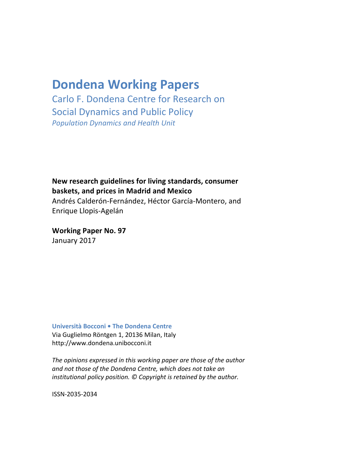# **Dondena Working Papers**

Carlo F. Dondena Centre for Research on Social Dynamics and Public Policy *Population Dynamics and Health Unit*

**New research guidelines for living standards, consumer baskets, and prices in Madrid and Mexico** Andrés Calderón-Fernández, Héctor García-Montero, and Enrique Llopis-Agelán

**Working Paper No. 97** January 2017

**Università Bocconi • The Dondena Centre** Via Guglielmo Röntgen 1, 20136 Milan, Italy http://www.dondena.unibocconi.it

The opinions expressed in this working paper are those of the author *and not those of the Dondena Centre, which does not take an institutional policy position.* © Copyright is retained by the author.

ISSN-2035-2034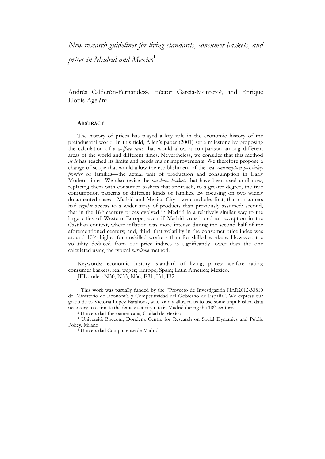*New research guidelines for living standards, consumer baskets, and prices in Madrid and Mexico***<sup>1</sup>**

Andrés Calderón-Fernández<sup>2</sup>, Héctor García-Montero<sup>3</sup>, and Enrique Llopis-Agelán4

#### **ABSTRACT**

The history of prices has played a key role in the economic history of the preindustrial world. In this field, Allen's paper (2001) set a milestone by proposing the calculation of a *welfare ratio* that would allow a comparison among different areas of the world and different times. Nevertheless, we consider that this method *as is* has reached its limits and needs major improvements. We therefore propose a change of scope that would allow the establishment of the real *consumption*-*possibility frontier* of families—the actual unit of production and consumption in Early Modern times. We also revise the *barebone baskets* that have been used until now, replacing them with consumer baskets that approach, to a greater degree, the true consumption patterns of different kinds of families. By focusing on two widely documented cases—Madrid and Mexico City—we conclude, first, that consumers had *regular* access to a wider array of products than previously assumed; second, that in the 18th century prices evolved in Madrid in a relatively similar way to the large cities of Western Europe, even if Madrid constituted an exception in the Castilian context, where inflation was more intense during the second half of the aforementioned century; and, third, that volatility in the consumer price index was around 10% higher for unskilled workers than for skilled workers. However, the volatility deduced from our price indices is significantly lower than the one calculated using the typical *barebone* method.

Keywords: economic history; standard of living; prices; welfare ratios; consumer baskets; real wages; Europe; Spain; Latin America; Mexico.

JEL codes: N30, N33, N36, E31, I31, I32

 <sup>1</sup> This work was partially funded by the "Proyecto de Investigación HAR2012-33810 del Ministerio de Economía y Competitividad del Gobierno de España". We express our gratitude to Victoria López Barahona, who kindly allowed us to use some unpublished data necessary to estimate the female activity rate in Madrid during the 18th century. 2 Universidad Iberoamericana, Ciudad de México.

<sup>3</sup> Università Bocconi, Dondena Centre for Research on Social Dynamics and Public Policy, Milano.

<sup>4</sup> Universidad Complutense de Madrid.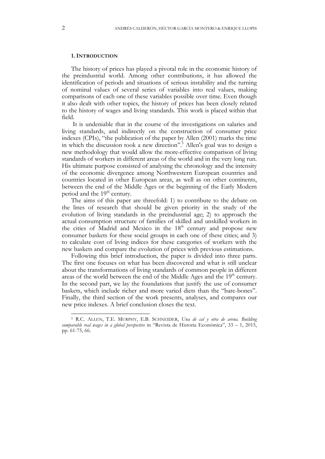# **1. INTRODUCTION**

The history of prices has played a pivotal role in the economic history of the preindustrial world. Among other contributions, it has allowed the identification of periods and situations of serious instability and the turning of nominal values of several series of variables into real values, making comparisons of each one of these variables possible over time. Even though it also dealt with other topics, the history of prices has been closely related to the history of wages and living standards. This work is placed within that field.

It is undeniable that in the course of the investigations on salaries and living standards, and indirectly on the construction of consumer price indexes (CPIs), "the publication of the paper by Allen (2001) marks the time in which the discussion took a new direction".<sup>5</sup> Allen's goal was to design a new methodology that would allow the more-effective comparison of living standards of workers in different areas of the world and in the very long run. His ultimate purpose consisted of analysing the chronology and the intensity of the economic divergence among Northwestern European countries and countries located in other European areas, as well as on other continents, between the end of the Middle Ages or the beginning of the Early Modern period and the 19<sup>th</sup> century.

The aims of this paper are threefold: 1) to contribute to the debate on the lines of research that should be given priority in the study of the evolution of living standards in the preindustrial age; 2) to approach the actual consumption structure of families of skilled and unskilled workers in the cities of Madrid and Mexico in the  $18<sup>th</sup>$  century and propose new consumer baskets for these social groups in each one of these cities; and 3) to calculate cost of living indices for these categories of workers with the new baskets and compare the evolution of prices with previous estimations.

Following this brief introduction, the paper is divided into three parts. The first one focuses on what has been discovered and what is still unclear about the transformations of living standards of common people in different areas of the world between the end of the Middle Ages and the 19<sup>th</sup> century. In the second part, we lay the foundations that justify the use of consumer baskets, which include richer and more varied diets than the "bare-bones". Finally, the third section of the work presents, analyses, and compares our new price indexes. A brief conclusion closes the text.

 <sup>5</sup> R.C. ALLEN, T.E. MURPHY, E.B. SCHNEIDER, *Una de cal y otra de arena. Building comparable real wages in a global perspective* in "Revista de Historia Económica", 33 – 1, 2015, pp. 61-75, 66.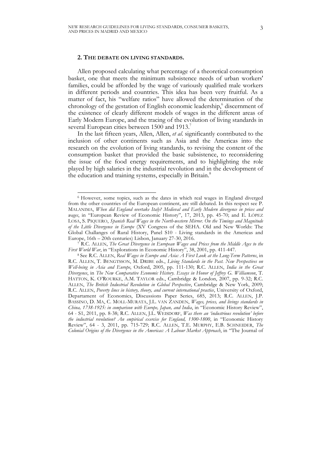# **2. THE DEBATE ON LIVING STANDARDS.**

Allen proposed calculating what percentage of a theoretical consumption basket, one that meets the minimum subsistence needs of urban workers' families, could be afforded by the wage of variously qualified male workers in different periods and countries. This idea has been very fruitful. As a matter of fact, his "welfare ratios" have allowed the determination of the chronology of the gestation of English economic leadership,<sup>6</sup> discernment of the existence of clearly different models of wages in the different areas of Early Modern Europe, and the tracing of the evolution of living standards in several European cities between 1500 and 1913.

In the last fifteen years, Allen, Allen, *et al*. significantly contributed to the inclusion of other continents such as Asia and the Americas into the research on the evolution of living standards, to revising the content of the consumption basket that provided the basic subsistence, to reconsidering the issue of the food energy requirements, and to highlighting the role played by high salaries in the industrial revolution and in the development of the education and training systems, especially in Britain.<sup>8</sup>

 <sup>6</sup> However, some topics, such as the dates in which real wages in England diverged from the other countries of the European continent, are still debated. In this respect see P. MALANIMA, *When did England overtake Italy? Medieval and Early Modern divergence in prices and wages*, in "European Review of Economic History", 17, 2013, pp. 45-70; and E. LÓPEZ LOSA, S. PIQUERO, *Spanish Real Wages in the North-western Mirror. On the Timings and Magnitude of the Little Divergence in Europe* (XV Congress of the SEHA. Old and New Worlds: The Global Challanges of Rural History, Panel S10 - Living standards in the Americas and Europe, 16th – 20th centuries) Lisbon, January 27-30, 2016.

<sup>7</sup> R.C. ALLEN, *The Great Divergence in European Wages and Prices from the Middle Ages to the First World War*, in "Explorations in Economic History", 38, 2001, pp. 411-447.

<sup>8</sup> See R.C. ALLEN, *Real Wages in Europe and Asia: A First Look at the Long-Term Patterns*, in R.C. ALLEN, T. BENGTSSON, M. DRIBE eds., *Living Standards in the Past. New Perspectives on Well-being in Asia and Europe*, Oxford, 2005, pp. 111-130; R.C. ALLEN, *India in the Great Divergence*, in *The New Comparative Economic History. Essays in Honor of Jeffrey G. Williamson*, T. HATTON, K. O'ROURKE, A.M. TAYLOR eds., Cambridge & London, 2007, pp. 9-32; R.C. ALLEN, *The British Industrial Revolution in Global Perspective*, Cambridge & New York, 2009; R.C. ALLEN, *Poverty lines in history, theory, and current international practice*, University of Oxford, Departament of Economics, Discussions Paper Series, 685, 2013; R.C. ALLEN, J.P. BASSINO, D. MA, C. MOLL-MURATA, J.L. VAN ZANDEN, *Wages, prices, and livings standards in China, 1738-1925: in comparison with Europe, Japan, and India*, in "Economic History Review", 64 - S1, 2011, pp. 8-38; R.C. ALLEN, J.L. WEISDORF, *Was there an 'industrious revolution' before the industrial revolution? An empirical exercise for England, 1300-1800*, in "Economic History Review", 64 - 3, 2011, pp. 715-729; R.C. ALLEN, T.E. MURPHY, E.B. SCHNEIDER, *The Colonial Origins of the Divergence in the Americas: A Labour Market Approach*, in "The Journal of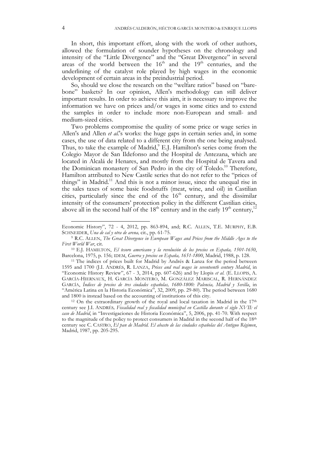In short, this important effort, along with the work of other authors, allowed the formulation of sounder hypotheses on the chronology and intensity of the "Little Divergence" and the "Great Divergence" in several areas of the world between the  $16<sup>th</sup>$  and the  $19<sup>th</sup>$  centuries, and the underlining of the catalyst role played by high wages in the economic development of certain areas in the preindustrial period.

So, should we close the research on the "welfare ratios" based on "barebone" baskets? In our opinion, Allen's methodology can still deliver important results. In order to achieve this aim, it is necessary to improve the information we have on prices and/or wages in some cities and to extend the samples in order to include more non-European and small- and medium-sized cities.

Two problems compromise the quality of some price or wage series in Allen's and Allen *et al.*'s works: the huge gaps in certain series and, in some cases, the use of data related to a different city from the one being analysed. Thus, to take the example of Madrid,<sup>9</sup> E.J. Hamilton's series come from the Colegio Mayor de San Ildefonso and the Hospital de Antezana, which are located in Alcalá de Henares, and mostly from the Hospital de Tavera and the Dominican monastery of San Pedro in the city of Toledo.<sup>10</sup> Therefore, Hamilton attributed to New Castile series that do not refer to the "prices of things" in Madrid.<sup>11</sup> And this is not a minor issue, since the unequal rise in the sales taxes of some basic foodstuffs (meat, wine, and oil) in Castilian cities, particularly since the end of the  $16<sup>th</sup>$  century, and the dissimilar intensity of the consumers' protection policy in the different Castilian cities, above all in the second half of the  $18<sup>th</sup>$  century and in the early  $19<sup>th</sup>$  century,<sup>1</sup>

-

Economic History", 72 - 4, 2012, pp. 863-894, and; R.C. ALLEN, T.E. MURPHY, E.B. SCHNEIDER, *Una de cal y otra de arena,* cit., pp. 61-75.

<sup>9</sup> R.C. ALLEN, *The Great Divergence in European Wages and Prices from the Middle Ages to the First World War*, cit. 10 E.J. HAMILTON, *El tesoro americano y la revolución de los precios en España, 1501-1650*,

Barcelona, 1975, p. 156; IDEM, *Guerra y precios en España, 1651-1800*, Madrid, 1988, p. 128.

<sup>11</sup> The indices of prices built for Madrid by Andrés & Lanza for the period between 1595 and 1700 (J.I. ANDRÉS, R. LANZA, *Prices and real wages in seventeenth century Madrid*, in "Economic History Review", 67 - 3, 2014, pp. 607-626) and by Llopis *et al.* (E. LLOPIS, A. GARCÍA-HIERNAUX, H. GARCÍA MONTERO, M. GONZÁLEZ MARISCAL, R. HERNÁNDEZ GARCÍA, *Índices de precios de tres ciudades españolas, 1680-1800: Palencia, Madrid y Sevilla*, in "América Latina en la Historia Económica", 32, 2009, pp. 29-80). The period between 1680 and 1800 is instead based on the accounting of institutions of this city.

 $12$  On the extraordinary growth of the royal and local taxation in Madrid in the  $17<sup>th</sup>$ century see J.I. ANDRÉS*, Fiscalidad real y fiscalidad municipal en Castilla durante el siglo XVII: el caso de Madrid*, in "Investigaciones de Historia Económica", 5, 2006, pp. 41-70. With respect to the magnitude of the policy to protect consumers in Madrid in the second half of the  $18<sup>th</sup>$ century see C. CASTRO, *El pan de Madrid. El abasto de las ciudades españolas del Antiguo Régimen*, Madrid, 1987, pp. 205-295.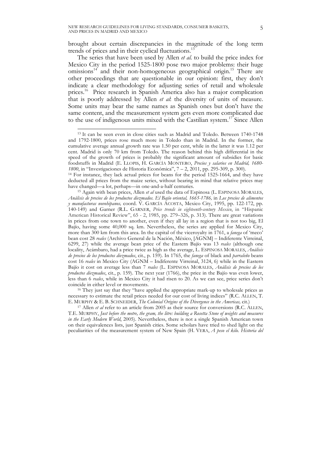brought about certain discrepancies in the magnitude of the long term trends of prices and in their cyclical fluctuations.<sup>13</sup>

The series that have been used by Allen *et al.* to build the price index for Mexico City in the period 1525-1800 pose two major problems: their huge omissions<sup>14</sup> and their non-homogeneous geographical origin.<sup>15</sup> There are other proceedings that are questionable in our opinion: first, they don't indicate a clear methodology for adjusting series of retail and wholesale prices.<sup>16</sup> Price research in Spanish America also has a major complication that is poorly addressed by Allen *et al*: the diversity of units of measure. Some units may bear the same names as Spanish ones but don't have the same content, and the measurement system gets even more complicated due to the use of indigenous units mixed with the Castilian system.<sup>17</sup> Since Allen

coincide in either level or movements. 16 They just say that they "have applied the appropriate mark-up to wholesale prices as necessary to estimate the retail prices needed for our cost of living indices" (R.C. ALLEN, T. E. MURPHY & E. B. SCHNEIDER, *The Colonial Origins of the Divergence in the Americas,* cit.)

<sup>17</sup> Allen *et al* refer to an article from 2005 as their source for conversions (R.C. ALLEN, T.E. MURPHY, *Just before the metre, the gram, the litre: building a Rosetta Stone of weights and measures in the Early Modern World*, 2005). Nevertheless, there is not a single Spanish American town on their equivalences lists, just Spanish cities. Some scholars have tried to shed light on the peculiarities of the measurement system of New Spain (H. VERA, *A peso el kilo. Historia del* 

 <sup>13</sup> It can be seen even in close cities such as Madrid and Toledo. Between 1740-1748 and 1792-1800, prices rose much more in Toledo than in Madrid. In the former, the cumulative average annual growth rate was 1.50 per cent, while in the latter it was 1.12 per cent. Madrid is only 70 km from Toledo. The reason behind this high differential in the speed of the growth of prices is probably the significant amount of subsidies for basic foodstuffs in Madrid (E. LLOPIS, H. GARCÍA MONTERO, *Precios y salarios en Madrid, 1680- 1800*, in "Investigaciones de Historia Económica", 7 – 2, 2011, pp. 295-309, p. 300).

<sup>14</sup> For instance, they lack actual prices for beans for the period 1525-1664, and they have deducted all prices from the maize series, without bearing in mind that relative prices may have changed—a lot, perhaps—in one-and-a-half centuries.

<sup>15</sup> Again with bean prices, Allen *et al* used the data of Espinosa (L. ESPINOSA MORALES, *Análisis de precios de los productos diezmados. El Bajío oriental, 1665-1786,* in *Los precios de alimentos y manufacturas novohipanos,* coord. V. GARCÍA ACOSTA, Mexico City, 1995, pp. 122-172, pp. 140-149) and Garner (R.L. GARNER, *Price trends in eighteenth-century Mexico*, in "Hispanic American Historical Review", 65 - 2, 1985, pp. 279–326, p. 313). There are great variations in prices from one town to another, even if they all lay in a region that is not too big, El Bajío, having some 40,000 sq. km. Nevertheless, the series are applied for Mexico City, more than 300 km from this area. In the capital of the viceroyalty in 1761, a *fanega* of 'meco' bean cost 28 *reales* (Archivo General de la Nación, México, [AGNM] – Indiferente Virreinal, 6299, 27) while the average bean price of the Eastern Bajío was 13 *reales* (although one locality, Acámbaro, had a price twice as high as the average, L. ESPINOSA MORALES, *Análisis de precios de los productos diezmados*, cit*.*, p. 159). In 1765, the *fanega* of black and *parraleño* beans cost 16 *reales* in Mexico City (AGNM – Indiferente Virreinal, 3124, 6) while in the Eastern Bajío it cost on average less than 7 *reales* (L. ESPINOSA MORALES, *Análisis de precios de los productos diezmados*, cit*.*, p. 159). The next year (1766), the price in the Bajío was even lower, less than 6 *reales*, while in Mexico City it had risen to 20. As we can see, price series don't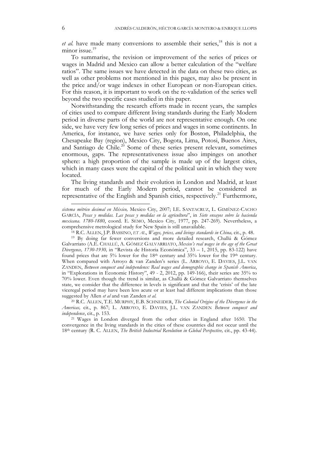*et al.* have made many conversions to assemble their series,<sup>18</sup> this is not a minor issue.<sup>19</sup>

To summarise, the revision or improvement of the series of prices or wages in Madrid and Mexico can allow a better calculation of the "welfare ratios". The same issues we have detected in the data on these two cities, as well as other problems not mentioned in this pages, may also be present in the price and/or wage indexes in other European or non-European cities. For this reason, it is important to work on the re-validation of the series well beyond the two specific cases studied in this paper.

Notwithstanding the research efforts made in recent years, the samples of cities used to compare different living standards during the Early Modern period in diverse parts of the world are not representative enough. On one side, we have very few long series of prices and wages in some continents. In America, for instance, we have series only for Boston, Philadelphia, the Chesapeake Bay (region), Mexico City, Bogota, Lima, Potosi, Buenos Aires, and Santiago de Chile.<sup>20</sup> Some of these series present relevant, sometimes enormous, gaps. The representativeness issue also impinges on another sphere: a high proportion of the sample is made up of the largest cities, which in many cases were the capital of the political unit in which they were located.

The living standards and their evolution in London and Madrid, at least for much of the Early Modern period, cannot be considered as representative of the English and Spanish cities, respectively.<sup>21</sup> Furthermore,

j

*sistema métrico decimal en México,* Mexico City, 2007; I.E. SANTACRUZ, L. GIMÉNEZ-CACHO GARCÍA, *Pesas y medidas. Las pesas y medidas en la agricultura*", in *Siete ensayos sobre la hacienda mexicana. 1780-1880*, coord. E. SEMO, Mexico City, 1977, pp. 247-269). Nevertheless, a comprehensive metrological study for New Spain is still unavailable.

<sup>18</sup> R.C. ALLEN, J.P. BASSINO, *ET AL*, *Wages, prices, and livings standards in China,* cit., p. 48.

<sup>19</sup> By doing far fewer conversions and more detailed research, Challú & Gómez Galvarriato (A.E. CHALLÚ, A. GÓMEZ GALVARRIATO, *Mexico's real wages in the age of the Great Divergence, 1730-1930,* in "Revista de Historia Económica", 33 – 1, 2015, pp. 83-122) have found prices that are 5% lower for the 18<sup>th</sup> century and 35% lower for the 19<sup>th</sup> century. When compared with Arroyo & van Zanden's series (L. ARROYO, E. DAVIES, J.L. VAN ZANDEN, *Between conquest and independence: Real wages and demographic change in Spanish America*, in "Explorations in Economic History", 49 - 2, 2012, pp. 149-166), their series are 35% to 70% lower. Even though the trend is similar, as Challú & Gómez Galvarriato themselves state, we consider that the difference in levels is significant and that the 'crisis' of the late viceregal period may have been less acute or at least had different implications than those suggested by Allen *et al* and van Zanden *et al.*

<sup>20</sup> R.C. ALLEN, T.E. MURPHY, E.B. SCHNEIDER, *The Colonial Origins of the Divergence in the Americas,* cit., p. 867; L. ARROYO, E. DAVIES, J.L. VAN ZANDEN *Between conquest and independence*, cit., p. 153.

<sup>21</sup> Wages in London diverged from the other cities in England after 1650. The convergence in the living standards in the cities of these countries did not occur until the 18th century (R. C. ALLEN, *The British Industrial Revolution in Global Perspective,* cit., pp. 43-44).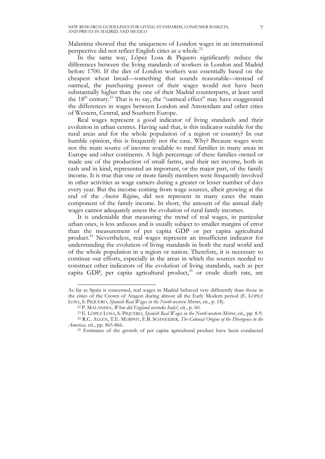Malanima showed that the uniqueness of London wages in an international perspective did not reflect English cities as a whole.<sup>22</sup>

In the same way, López Losa & Piquero significantly reduce the differences between the living standards of workers in London and Madrid before 1700. If the diet of London workers was essentially based on the cheapest wheat bread—something that sounds reasonable—instead of oatmeal, the purchasing power of their wages would not have been substantially higher than the one of their Madrid counterparts, at least until the  $18<sup>th</sup>$  century.<sup>23</sup> That is to say, the "oatmeal effect" may have exaggerated the differences in wages between London and Amsterdam and other cities of Western, Central, and Southern Europe.

Real wages represent a good indicator of living standards and their evolution in urban centres. Having said that, is this indicator suitable for the rural areas and for the whole population of a region or country? In our humble opinion, this is frequently not the case. Why? Because wages were not the main source of income available to rural families in many areas in Europe and other continents. A high percentage of these families owned or made use of the production of small farms, and their net income, both in cash and in kind, represented an important, or the major part, of the family income. It is true that one or more family members were frequently involved in other activities as wage earners during a greater or lesser number of days every year. But the income coming from wage sources, albeit growing at the end of the *Ancien Régime*, did not represent in many cases the main component of the family income. In short, the amount of the annual daily wages cannot adequately assess the evolution of rural family incomes.

It is undeniable that measuring the trend of real wages, in particular urban ones, is less arduous and is usually subject to smaller margins of error than the measurement of per capita GDP or per capita agricultural product.24 Nevertheless, real wages represent an insufficient indicator for understanding the evolution of living standards in both the rural world and of the whole population in a region or nation. Therefore, it is necessary to continue our efforts, especially in the areas in which the sources needed to construct other indicators of the evolution of living standards, such as per capita GDP, per capita agricultural product, <sup>25</sup> or crude death rate, are

 $\overline{a}$ 

As far as Spain is concerned, real wages in Madrid behaved very differently than those in the cities of the Crown of Aragon during almost all the Early Modern period (E. LÓPEZ LOSA, S. PIQUERO, *Spanish Real Wages in the North-western Mirror*, cit., p. 18).

<sup>22</sup> P. MALANIMA, *When did England overtake Italy?*, cit., p. 60.

<sup>23</sup> E. LÓPEZ LOSA, S. PIQUERO, *Spanish Real Wages in the North-western Mirror*, cit., pp. 8-9.

<sup>24</sup> R.C. ALLEN, T.E. MURPHY, E.B. SCHNEIDER, *The Colonial Origins of the Divergence in the Americas,* cit., pp. 865-866.

<sup>&</sup>lt;sup>25</sup> Estimates of the growth of per capita agricultural product have been conducted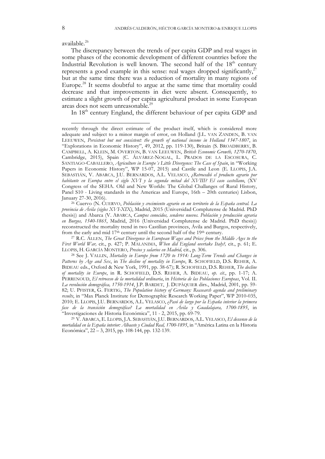available.26

j

The discrepancy between the trends of per capita GDP and real wages in some phases of the economic development of different countries before the Industrial Revolution is well known. The second half of the  $18<sup>th</sup>$  century represents a good example in this sense: real wages dropped significantly, $^{27}$ but at the same time there was a reduction of mortality in many regions of Europe.28 It seems doubtful to argue at the same time that mortality could decrease and that improvements in diet were absent. Consequently, to estimate a slight growth of per capita agricultural product in some European areas does not seem unreasonable.<sup>29</sup>

In 18<sup>th</sup> century England, the different behaviour of per capita GDP and

recently through the direct estimate of the product itself, which is considered more adequate and subject to a minor margin of error, on Holland (J.L. VAN ZANDEN, B. VAN LEEUWEN, *Persistent but not consistent: the growth of national income in Holland 1347-1807*, in "Explorations in Economic History", 49, 2012, pp. 119-130), Britain (S. BROADBERRY, B. CAMPBELL, A. KLEIN, M. OVERTON, B. VAN LEEUWEN, *British Economic Growth, 1270-1870*, Cambridge, 2015), Spain (C. ÁLVÁREZ-NOGAL, L. PRADOS DE LA ESCOSURA, C. SANTIAGO-CABALLERO, *Agriculture in Europe´s Little Divergence: The Case of Spain*, in "Working Papers in Economic History", WP 15-07, 2015) and Castile and Leon (E. LLOPIS, J.A. SEBASTIÁN, V. ABARCA, J.U. BERNARDOS, A.L. VELASCO, *¿Retrocedió el producto agrario por habitante en Europa entre el siglo XVI y la segunda mitad del XVIII? El caso castellano*, (XV Congress of the SEHA. Old and New Worlds: The Global Challanges of Rural History, Panel S10 - Living standards in the Americas and Europe, 16th – 20th centuries) Lisbon,

January 27-30, 2016). 26 Cuervo (N. CUERVO, *Población y crecimiento agrario en un territorio de la España central. La provincia de Ávila (siglos XVI-XIX)*, Madrid, 2015 (Universidad Complutense de Madrid. PhD thesis)) and Abarca (V. ABARCA, *Campos conocidos, senderos nuevos. Población y producción agraria en Burgos, 1540-1865*, Madrid, 2016 (Universidad Complutense de Madrid. PhD thesis)) reconstructed the mortality trend in two Castilian provinces, Ávila and Burgos, respectively, from the early and mid 17th century until the second half of the 19th century.

<sup>27</sup> R.C. ALLEN, *The Great Divergence in European Wages and Prices from the Middle Ages to the First World War,* cit., p. 427; P. MALANIMA, *When did England overtake Italy?,* cit., p. 61; E. LLOPIS, H. GARCÍA MONTERO, *Precios y salarios en Madrid,* cit., p. 306.

<sup>28</sup> See J. VALLIN, *Mortality in Europe from 1720 to 1914: Long-Term Trends and Changes in Patterns by Age and Sex*, in *The decline of mortality in Europe*, R. SCHOFIELD, D.S. REHER, A. BIDEAU eds., Oxford & New York, 1991, pp. 38-67); R. SCHOFIELD, D.S. REHER, *The decline of mortality in Europe*, in R. SCHOFIELD, D.S. REHER, A. BIDEAU, *op. cit.*, pp. 1-17; A. PERRENOUD, *El retroceso de la mortalidad ordinaria*, in *Historia de las Poblaciones Europeas*, Vol. II. *La revolución demográfica, 1750-1914*, J.P. BARDET, J. DUPÂQUIER dirs., Madrid, 2001, pp. 59- 82; U. PFISTER, G. FERTIG, *The Population history of Germany: Reasearch agenda and preliminary results*, in "Max Planck Institute for Demographic Research Working Paper", WP 2010-035, 2010; E. LLOPIS, J.U. BERNARDOS, A.L. VELASCO, ¿*Pasó de largo por la España interior la primera fase de la transición demográfica? La mortalidad en Ávila y Guadalajara, 1700-1895*, in "Investigaciones de Historia Económica", 11 - 2, 2015, pp. 69-79.

<sup>29</sup> V. ABARCA, E. LLOPIS, J.A. SEBASTIÁN, J.U. BERNARDOS, A.L. VELASCO, *El descenso de la mortalidad en la España interior: Albacete y Ciudad Real, 1700-1895*, in "América Latina en la Historia Económica", 22 – 3, 2015, pp. 108-144, pp. 132-139.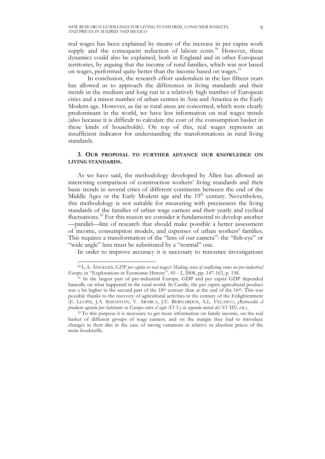real wages has been explained by means of the increase in per capita work supply and the consequent reduction of labour costs.<sup>30</sup> However, these dynamics could also be explained, both in England and in other European territories, by arguing that the income of rural families, which was not based on wages, performed quite better than the income based on wages.<sup>31</sup>

In conclusion, the research effort undertaken in the last fifteen years has allowed us to approach the differences in living standards and their trends in the medium and long run in a relatively high number of European cities and a minor number of urban centres in Asia and America in the Early Modern age. However, as far as rural areas are concerned, which were clearly predominant in the world, we have less information on real wages trends (also because it is difficult to calculate the cost of the consumption basket in these kinds of households). On top of this, real wages represent an insufficient indicator for understanding the transformations in rural living standards.

# **3. OUR PROPOSAL TO FURTHER ADVANCE OUR KNOWLEDGE ON LIVING STANDARDS.**

As we have said, the methodology developed by Allen has allowed an interesting comparison of construction workers' living standards and their basic trends in several cities of different continents between the end of the Middle Ages or the Early Modern age and the  $19<sup>th</sup>$  century. Nevertheless, this methodology is not suitable for measuring with preciseness the living standards of the families of urban wage earners and their yearly and cyclical fluctuations.<sup>32</sup> For this reason we consider it fundamental to develop another —parallel—line of research that should make possible a better assessment of income, consumption models, and expenses of urban workers' families. This requires a transformation of the "lens of our camera": the "fish-eye" or "wide angle" lens must be substituted by a "normal" one.

In order to improve accuracy it is necessary to renounce investigations

 <sup>30</sup> L.A. ÁNGELES, *GDP per capita or real wages? Making sense of conflicting views on pre-industrial Europe*, in "Explorations in Economic History", 45 - 2, 2008, pp. 147-163, p. 158.

<sup>&</sup>lt;sup>31</sup> In the largest part of pre-industrial Europe, GDP and per capita GDP depended basically on what happened in the rural world. In Castile, the per capita agricultural product was a bit higher in the second part of the  $18<sup>th</sup>$  century than at the end of the  $16<sup>th</sup>$ . This was possible thanks to the recovery of agricultural activities in the century of the Enlightenment (E. LLOPIS, J.A. SEBASTIÁN, V. ABARCA, J.U. BERNARDOS, A.L. VELASCO, *¿Retrocedió el producto agrario por habitante en Europa entre el siglo XVI y la segunda mitad del XVIII?,* cit.).

<sup>&</sup>lt;sup>32</sup> To this purpose it is necessary to get more information on family income, on the real basket of different groups of wage earners, and on the margin they had to introduce changes in their diet in the case of strong variations in relative or absolute prices of the main foodstuffs.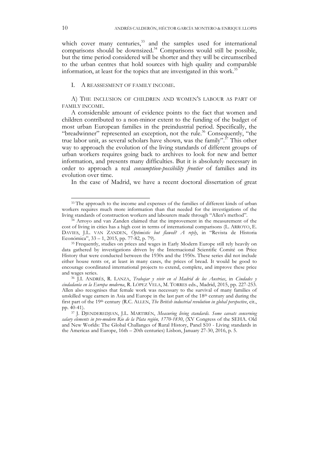which cover many centuries,<sup>33</sup> and the samples used for international comparisons should be downsized.<sup>34</sup> Comparisons would still be possible, but the time period considered will be shorter and they will be circumscribed to the urban centres that hold sources with high quality and comparable information, at least for the topics that are investigated in this work.<sup>35</sup>

# I. A REASSESMENT OF FAMILY INCOME.

A) THE INCLUSION OF CHILDREN AND WOMEN'S LABOUR AS PART OF FAMILY INCOME.

A considerable amount of evidence points to the fact that women and children contributed to a non-minor extent to the funding of the budget of most urban European families in the preindustrial period. Specifically, the "breadwinner" represented an exception, not the rule.<sup>36</sup> Consequently, "the true labor unit, as several scholars have shown, was the family".<sup>37</sup> This other way to approach the evolution of the living standards of different groups of urban workers requires going back to archives to look for new and better information, and presents many difficulties. But it is absolutely necessary in order to approach a real *consumption*-*possibility frontier* of families and its evolution over time.

In the case of Madrid, we have a recent doctoral dissertation of great

<sup>&</sup>lt;sup>33</sup> The approach to the income and expenses of the families of different kinds of urban workers requires much more information than that needed for the investigations of the living standards of construction workers and labourers made through "Allen's method".

<sup>&</sup>lt;sup>34</sup> Arroyo and van Zanden claimed that the improvement in the measurement of the cost of living in cities has a high cost in terms of international comparisons (L. ARROYO, E. DAVIES, J.L. VAN ZANDEN, *Optimistic but flawed? A reply*, in "Revista de Historia Económica", 33 – 1, 2015, pp. 77-82, p. 79).

<sup>35</sup> Frequently, studies on prices and wages in Early Modern Europe still rely heavily on data gathered by investigations driven by the Internacional Scientific Comité on Price History that were conducted between the 1930s and the 1950s. These series did not include either house rents or, at least in many cases, the prices of bread. It would be good to encourage coordinated international projects to extend, complete, and improve these price and wages series.

<sup>36</sup> J.I. ANDRÉS, R. LANZA, *Trabajar y vivir en el Madrid de los Austrias*, in *Ciudades y ciudadanía en la Europa moderna*, R. LÓPEZ VELA, M. TORRES eds., Madrid, 2015, pp. 227-253. Allen also recognises that female work was necessary to the survival of many families of unskilled wage earners in Asia and Europe in the last part of the  $18<sup>th</sup>$  century and during the first part of the 19<sup>th</sup> century (R.C. ALLEN, *The British industrial revolution in global perspective*, cit., pp. 40-41).

<sup>37</sup> J. DJENDEREDJIAN, J.L. MARTIRÉN, *Measuring living standards. Some caveats concerning salary elements in pre-modern Rio de la Plata región, 1770-1830*, (XV Congress of the SEHA. Old and New Worlds: The Global Challanges of Rural History, Panel S10 - Living standards in the Americas and Europe, 16th – 20th centuries) Lisbon, January 27-30, 2016, p. 5.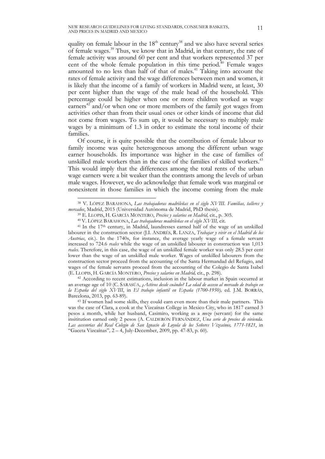quality on female labour in the  $18<sup>th</sup>$  century<sup>38</sup> and we also have several series of female wages.39 Thus, we know that in Madrid, in that century, the rate of female activity was around 60 per cent and that workers represented 37 per cent of the whole female population in this time period.<sup>40</sup> Female wages amounted to no less than half of that of males. <sup>41</sup> Taking into account the rates of female activity and the wage differences between men and women, it is likely that the income of a family of workers in Madrid were, at least, 30 per cent higher than the wage of the male head of the household. This percentage could be higher when one or more children worked as wage earners<sup>42</sup> and/or when one or more members of the family got wages from activities other than from their usual ones or other kinds of income that did not come from wages. To sum up, it would be necessary to multiply male wages by a minimum of 1.3 in order to estimate the total income of their families.

Of course, it is quite possible that the contribution of female labour to family income was quite heterogeneous among the different urban wage earner households. Its importance was higher in the case of families of unskilled male workers than in the case of the families of skilled workers.<sup>43</sup> This would imply that the differences among the total rents of the urban wage earners were a bit weaker than the contrasts among the levels of urban male wages. However, we do acknowledge that female work was marginal or nonexistent in those families in which the income coming from the male

an average age of 10 (C. SARASÚA, *¿Activos desde cuándo? La edad de acceso al mercado de trabajo en la España del siglo XVIII*, in *El trabajo infantil en España (1700-1950),* ed. J.M. BORRÁS, Barcelona, 2013, pp. 63-89).

 <sup>38</sup> V. LÓPEZ BARAHONA, *Las trabajadoras madrileñas en el siglo XVIII. Familias, talleres y mercados*, Madrid, 2015 (Universidad Autónoma de Madrid, PhD thesis).

<sup>39</sup> E. LLOPIS, H. GARCÍA MONTERO, *Precios y salarios en Madrid,* cit., p. 305.

<sup>40</sup> V. LÓPEZ BARAHONA, *Las trabajadoras madrileñas en el siglo XVIII,* cit.

<sup>&</sup>lt;sup>41</sup> In the 17<sup>th</sup> century, in Madrid, laundresses earned half of the wage of an unskilled labourer in the construction sector (J.I. ANDRÉS, R. LANZA, *Trabajar y vivir en el Madrid de los Austrias*, cit.). In the 1740s, for instance, the average yearly wage of a female servant increased to 724.6 *reales* while the wage of an unskilled labourer in construction was 1,013 *reales.* Therefore, in this case, the wage of an unskilled female worker was only 28.5 per cent lower than the wage of an unskilled male worker. Wages of unskilled labourers from the construction sector proceed from the accounting of the Santa Hermandad del Refugio, and wages of the female servants proceed from the accounting of the Colegio de Santa Isabel (E. LLOPIS, H. GARCÍA MONTERO, *Precios y salarios en Madrid,* cit., p. 298). 42 According to recent estimations, inclusion in the labour market in Spain occurred at

<sup>&</sup>lt;sup>43</sup> If women had some skills, they could earn even more than their male partners. This was the case of Clara, a cook at the Vizcaínas College in Mexico City, who in 1817 earned 3 pesos a month, while her husband, Casimiro, working as a *mozo* (servant) for the same insititution earned only 2 pesos (A. CALDERÓN FERNÁNDEZ, *Una serie de precios de vivienda. Las accesorias del Real Colegio de San Ignacio de Loyola de los Señores Vizcaínos, 1771-1821*, in "Gaceta Vizcaínas"*,* 2 – 4, July-December, 2009, pp. 47-83, p. 60).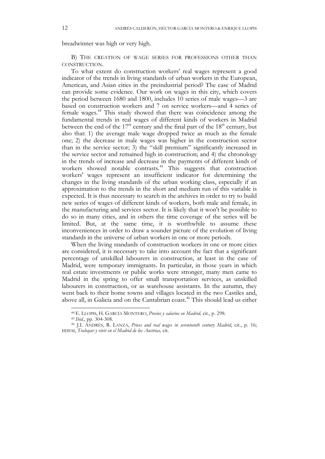breadwinner was high or very high.

B) THE CREATION OF WAGE SERIES FOR PROFESSIONS OTHER THAN CONSTRUCTION.

To what extent do construction workers' real wages represent a good indicator of the trends in living standards of urban workers in the European, American, and Asian cities in the preindustrial period? The case of Madrid can provide some evidence. Our work on wages in this city, which covers the period between 1680 and 1800, includes 10 series of male wages—3 are based on construction workers and 7 on service workers—and 4 series of female wages.44 This study showed that there was coincidence among the fundamental trends in real wages of different kinds of workers in Madrid between the end of the  $17<sup>th</sup>$  century and the final part of the  $18<sup>th</sup>$  century, but also that: 1) the average male wage dropped twice as much as the female one; 2) the decrease in male wages was higher in the construction sector than in the service sector; 3) the "skill premium" significantly increased in the service sector and remained high in construction; and 4) the chronology in the trends of increase and decrease in the payments of different kinds of workers showed notable contrasts.<sup>45</sup> This suggests that construction workers' wages represent an insufficient indicator for determining the changes in the living standards of the urban working class, especially if an approximation to the trends in the short and medium run of this variable is expected. It is thus necessary to search in the archives in order to try to build new series of wages of different kinds of workers, both male and female, in the manufacturing and services sector. It is likely that it won't be possible to do so in many cities, and in others the time coverage of the series will be limited. But, at the same time, it is worthwhile to assume these inconveniences in order to draw a sounder picture of the evolution of living standards in the universe of urban workers in one or more periods.

When the living standards of construction workers in one or more cities are considered, it is necessary to take into account the fact that a significant percentage of unskilled labourers in construction, at least in the case of Madrid, were temporary immigrants. In particular, in those years in which real estate investments or public works were stronger, many men came to Madrid in the spring to offer small transportation services, as unskilled labourers in construction, or as warehouse assistants. In the autumn, they went back to their home towns and villages located in the two Castiles and, above all, in Galicia and on the Cantabrian coast.<sup>46</sup> This should lead us either

 <sup>44</sup> E. LLOPIS, H. GARCÍA MONTERO, *Precios y salarios en Madrid,* cit., p. 298.

<sup>45</sup> *Ibid.,* pp. 304-308.

<sup>46</sup> J.I. ANDRÉS, R. LANZA, *Prices and real wages in seventeenth century Madrid*, cit., p. 16; IIDEM, *Trabajar y vivir en el Madrid de los Austrias,* cit.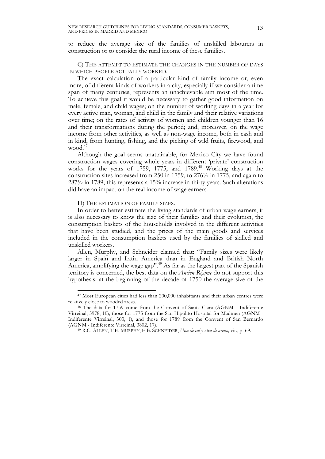to reduce the average size of the families of unskilled labourers in construction or to consider the rural income of these families.

C) THE ATTEMPT TO ESTIMATE THE CHANGES IN THE NUMBER OF DAYS IN WHICH PEOPLE ACTUALLY WORKED.

The exact calculation of a particular kind of family income or, even more, of different kinds of workers in a city, especially if we consider a time span of many centuries, represents an unachievable aim most of the time. To achieve this goal it would be necessary to gather good information on male, female, and child wages; on the number of working days in a year for every active man, woman, and child in the family and their relative variations over time; on the rates of activity of women and children younger than 16 and their transformations during the period; and, moreover, on the wage income from other activities, as well as non-wage income, both in cash and in kind, from hunting, fishing, and the picking of wild fruits, firewood, and wood. $4^7$ 

Although the goal seems unattainable, for Mexico City we have found construction wages covering whole years in different 'private' construction works for the years of 1759, 1775, and 1789.<sup>48</sup> Working days at the construction sites increased from 250 in 1759, to 276½ in 1775, and again to 287½ in 1789; this represents a 15% increase in thirty years. Such alterations did have an impact on the real income of wage earners.

D) THE ESTIMATION OF FAMILY SIZES.

In order to better estimate the living standards of urban wage earners, it is also necessary to know the size of their families and their evolution, the consumption baskets of the households involved in the different activities that have been studied, and the prices of the main goods and services included in the consumption baskets used by the families of skilled and unskilled workers.

Allen, Murphy, and Schneider claimed that: "Family sizes were likely larger in Spain and Latin America than in England and British North America, amplifying the wage gap".<sup>49</sup> As far as the largest part of the Spanish territory is concerned, the best data on the *Ancien Régime* do not support this hypothesis: at the beginning of the decade of 1750 the average size of the

 <sup>47</sup> Most European cities had less than 200,000 inhabitants and their urban centres were relatively close to wooded areas.

<sup>48</sup> The data for 1759 come from the Convent of Santa Clara (AGNM - Indiferente Virreinal, 5978, 10); those for 1775 from the San Hipólito Hospital for Madmen (AGNM - Indiferente Virreinal, 303, 1), and those for 1789 from the Convent of San Bernardo (AGNM - Indiferente Virreinal, 3802, 17). 49 R.C. ALLEN, T.E. MURPHY, E.B. SCHNEIDER, *Una de cal y otra de arena,* cit., p. 69.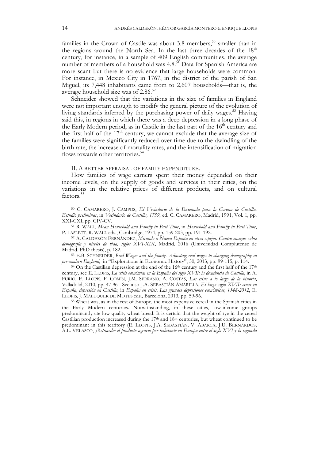families in the Crown of Castile was about 3.8 members, $50$  smaller than in the regions around the North Sea. In the last three decades of the 18<sup>th</sup> century, for instance, in a sample of 409 English communities, the average number of members of a household was 4.8.<sup>51</sup> Data for Spanish America are more scant but there is no evidence that large households were common. For instance, in Mexico City in 1767, in the district of the parish of San Miguel, its 7,448 inhabitants came from to 2,607 households—that is, the average household size was of 2.86.<sup>52</sup>

Schneider showed that the variations in the size of families in England were not important enough to modify the general picture of the evolution of living standards inferred by the purchasing power of daily wages.<sup>53</sup> Having said this, in regions in which there was a deep depression in a long phase of the Early Modern period, as in Castile in the last part of the  $16<sup>th</sup>$  century and the first half of the  $17<sup>th</sup>$  century, we cannot exclude that the average size of the families were significantly reduced over time due to the dwindling of the birth rate, the increase of mortality rates, and the intensification of migration flows towards other territories.<sup>54</sup>

#### II. A BETTER APPRAISAL OF FAMILY EXPENDITURE.

How families of wage earners spent their money depended on their income levels, on the supply of goods and services in their cities, on the variations in the relative prices of different products, and on cultural factors.<sup>55</sup>

 <sup>50</sup> C. CAMARERO, J. CAMPOS, *El Vecindario de la Ensenada para la Corona de Castilla. Estudio preliminar*, in *Vecindario de Castilla, 1759*, ed. C. CAMARERO, Madrid, 1991, Vol. 1, pp. XXI-CXI, pp. CIV-CV.

<sup>51</sup> R. WALL, *Mean Household and Family in Past Time*, in *Household and Family in Past Time*, P. LASLETT, R. WALL eds., Cambridge, 1974, pp. 159-203, pp. 191-192.

<sup>52</sup> A. CALDERÓN FERNÁNDEZ, *Mirando a Nueva España en otros espejos. Cuatro ensayos sobre demografía y niveles de vida, siglos XVI-XIX*, Madrid, 2016 (Universidad Complutense de Madrid. PhD thesis), p. 182.

<sup>53</sup> E.B. SCHNEIDER, *Real Wages and the family. Adjusting real wages to changing demography in pre-modern England*, in "Explorations in Economic History", 50, 2013, pp. 99-115, p. 114. <sup>54</sup> On the Castilian depression at the end of the 16<sup>th</sup> century and the first half of the 17<sup>th</sup>

century, see E. LLOPIS, *La crisis económica en la España del siglo XVII: la decadencia de Castilla*, in A. FURIÓ, E. LLOPIS, F. COMÍN, J.M. SERRANO, A. COSTAS, *Las crisis a lo largo de la historia*, Valladolid, 2010, pp. 47-96. See also J.A. SEBASTIÁN AMARILLA, *El largo siglo XVII: crisis en España, depresión en Castilla*, in *España en crisis. Las grandes depresiones económicas, 1348-2012*, E. LLOPIS, J. MALUQUER DE MOTES eds., Barcelona, 2013, pp. 59-96.

<sup>55</sup> Wheat was, as in the rest of Europe, the most expensive cereal in the Spanish cities in the Early Modern centuries. Notwithstanding, in these cities, low-income groups predominantly ate low quality wheat bread. It is certain that the weight of rye in the cereal Castilian production increased during the  $17<sup>th</sup>$  and  $18<sup>th</sup>$  centuries, but wheat continued to be predominant in this territory (E. LLOPIS, J.A. SEBASTIÁN, V. ABARCA, J.U. BERNARDOS, A.L. VELASCO, *¿Retrocedió el producto agrario por habitante en Europa entre el siglo XVI y la segunda*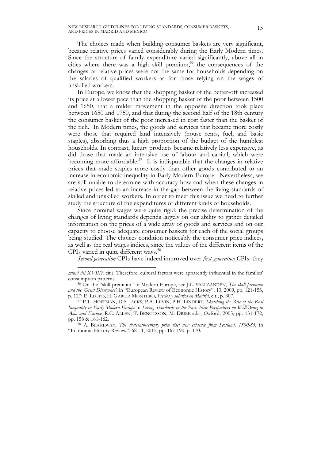The choices made when building consumer baskets are very significant, because relative prices varied considerably during the Early Modern times. Since the structure of family expenditure varied significantly, above all in cities where there was a high skill premium,<sup>56</sup> the consequences of the changes of relative prices were not the same for households depending on the salaries of qualified workers as for those relying on the wages of unskilled workers.

In Europe, we know that the shopping basket of the better-off increased its price at a lower pace than the shopping basket of the poor between 1500 and 1650, that a milder movement in the opposite direction took place between 1650 and 1750, and that during the second half of the 18th century the consumer basket of the poor increased in cost faster than the basket of the rich. In Modern times, the goods and services that became more costly were those that required land intensively (house rents, fuel, and basic staples), absorbing thus a high proportion of the budget of the humblest households. In contrast, luxury products became relatively less expensive, as did those that made an intensive use of labour and capital, which were becoming more affordable.<sup>57</sup> It is indisputable that the changes in relative prices that made staples more costly than other goods contributed to an increase in economic inequality in Early Modern Europe. Nevertheless, we are still unable to determine with accuracy how and when these changes in relative prices led to an increase in the gap between the living standards of skilled and unskilled workers. In order to meet this issue we need to further study the structure of the expenditures of different kinds of households.

Since nominal wages were quite rigid, the precise determination of the changes of living standards depends largely on our ability to gather detailed information on the prices of a wide array of goods and services and on our capacity to choose adequate consumer baskets for each of the social groups being studied. The choices condition noticeably the consumer price indices, as well as the real wages indices, since the values of the different items of the CPIs varied in quite different ways.<sup>58</sup>

*Second generation* CPIs have indeed improved over *first generation* CPIs: they

 $\overline{a}$ 

*mitad del XVIII?,* cit*.*). Therefore, cultural factors were apparently influential in the families' consumption patterns.

<sup>56</sup> On the "skill premium" in Modern Europe, see J.L. VAN ZANDEN, *The skill premium and the 'Great Divergence'*, in "European Review of Economic History", 13, 2009, pp. 121-153, p. 127; E. LLOPIS, H. GARCÍA MONTERO, *Precios y salarios en Madrid*, cit., p. 307. 57 P.T. HOFFMAN, D.S. JACKS, P.A. LEVIN, P.H. LINDERT, *Sketching the Rise of the Real* 

*Inequality in Early Modern Europe* in *Living Standards in the Past. New Perspectives on Well-Being in Asia and Europe*, R.C. ALLEN, T. BENGTSSON, M. DRIBE eds., Oxford, 2005, pp. 131-172, pp. 158 & 161-162.

<sup>58</sup> A. BLAKEWAY, *The sixteenth-century price rise: new evidence from Scotland, 1500-85*, in "Economic History Review", 68 - 1, 2015, pp. 167-190, p. 170.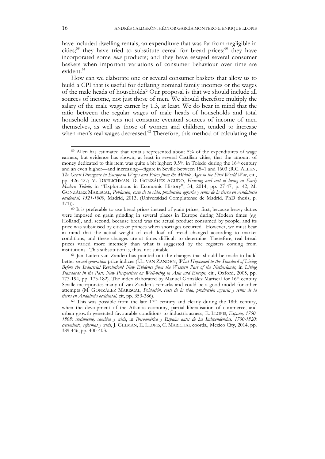have included dwelling rentals, an expenditure that was far from negligible in cities;<sup>59</sup> they have tried to substitute cereal for bread prices;<sup>60</sup> they have incorporated some *new* products; and they have essayed several consumer baskets when important variations of consumer behaviour over time are evident.<sup>61</sup>

How can we elaborate one or several consumer baskets that allow us to build a CPI that is useful for deflating nominal family incomes or the wages of the male heads of households? Our proposal is that we should include all sources of income, not just those of men. We should therefore multiply the salary of the male wage earner by 1.3, at least. We do bear in mind that the ratio between the regular wages of male heads of households and total household income was not constant: eventual sources of income of men themselves, as well as those of women and children, tended to increase when men's real wages decreased.<sup>62</sup> Therefore, this method of calculating the

 <sup>59</sup> Allen has estimated that rentals represented about 5% of the expenditures of wage earners, but evidence has shown, at least in several Castilian cities, that the amount of money dedicated to this item was quite a bit higher:  $9.5\%$  in Toledo during the  $16<sup>th</sup>$  century and an even higher—and increasing—figure in Seville between 1541 and 1603 (R.C. ALLEN, *The Great Divergence in European Wages and Prices from the Middle Ages to the First World War*, cit., pp. 426-427; M. DRELICHMAN, D. GONZÁLEZ AGUDO, *Housing and cost of living in Early Modern Toledo,* in "Explorations in Economic History", 54, 2014, pp. 27-47, p. 42; M. GONZÁLEZ MARISCAL, *Población, coste de la vida, producción agraria y renta de la tierra en Andalucía occidental, 1521-1800*, Madrid, 2013, (Universidad Complutense de Madrid. PhD thesis, p.  $371$ )).<br><sup>60</sup> It is preferable to use bread prices instead of grain prices, first, because heavy duties

were imposed on grain grinding in several places in Europe during Modern times (*e.g.*  Holland), and, second, because bread was the actual product consumed by people, and its price was subsidised by cities or princes when shortages occurred. However, we must bear in mind that the actual weight of each loaf of bread changed according to market conditions, and these changes are at times difficult to determine. Therefore, real bread prices varied more intensely than what is suggested by the registers coming from institutions. This substitution is, thus, not suitable.

<sup>61</sup> Jan Luiten van Zanden has pointed out the changes that should be made to build better *second generation* price indices (J.L. VAN ZANDEN, *What Happened to the Standard of Living Before the Industrial Revolution? New Evidence from the Western Part of the Netherlands*, in *Living Standards in the Past. New Perspectives on Well-being in Asia and Europe*, cit., Oxford, 2005, pp. 173-194, pp. 173-182). The index elaborated by Manuel González Mariscal for 16th century Seville incorporates many of van Zanden's remarks and could be a good model for other attempts (M. GONZÁLEZ MARISCAL, *Población, coste de la vida, producción agraria y renta de la tierra en Andalucía occidental,* cit, pp. 353-386).

 $62$  This was possible from the late  $17<sup>th</sup>$  century and clearly during the 18th century, when the devolpment of the Atlantic economy, partial liberalisation of commerce, and urban growth generated favourable conditions to industriousness, E. LLOPIS, *España, 1750- 1808: crecimiento, cambios y crisis*, in *Iberoamérica y España antes de las Independencias, 1700-1820: crecimiento, reformas y crisis*, J. GELMAN, E. LLOPIS, C. MARICHAL coords., Mexico City, 2014, pp. 389-446, pp. 400-403.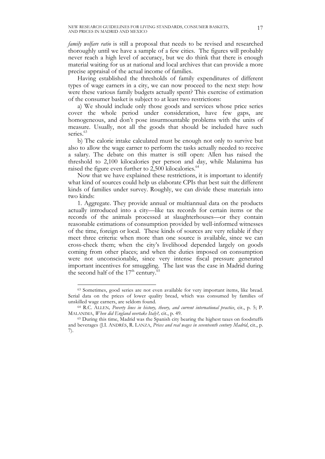*family welfare ratio* is still a proposal that needs to be revised and researched thoroughly until we have a sample of a few cities. The figures will probably never reach a high level of accuracy, but we do think that there is enough material waiting for us at national and local archives that can provide a more precise appraisal of the actual income of families.

Having established the thresholds of family expenditures of different types of wage earners in a city, we can now proceed to the next step: how were these various family budgets actually spent? This exercise of estimation of the consumer basket is subject to at least two restrictions:

a) We should include only those goods and services whose price series cover the whole period under consideration, have few gaps, are homogeneous, and don't pose insurmountable problems with the units of measure. Usually, not all the goods that should be included have such series.<sup>63</sup>

b) The calorie intake calculated must be enough not only to survive but also to allow the wage earner to perform the tasks actually needed to receive a salary. The debate on this matter is still open: Allen has raised the threshold to 2,100 kilocalories per person and day, while Malanima has raised the figure even further to 2,500 kilocalories.<sup>64</sup>

Now that we have explained these restrictions, it is important to identify what kind of sources could help us elaborate CPIs that best suit the different kinds of families under survey. Roughly, we can divide these materials into two kinds:

1. Aggregate. They provide annual or multiannual data on the products actually introduced into a city—like tax records for certain items or the records of the animals processed at slaughterhouses—or they contain reasonable estimations of consumption provided by well-informed witnesses of the time, foreign or local. These kinds of sources are very reliable if they meet three criteria: when more than one source is available, since we can cross-check them; when the city's livelihood depended largely on goods coming from other places; and when the duties imposed on consumption were not unconscionable, since very intense fiscal pressure generated important incentives for smuggling. The last was the case in Madrid during the second half of the  $17<sup>th</sup>$  century.<sup>6</sup>

 <sup>63</sup> Sometimes, good series are not even available for very important items, like bread. Serial data on the prices of lower quality bread, which was consumed by families of unskilled wage earners, are seldom found.

<sup>64</sup> R.C. ALLEN*, Poverty lines in history, theory, and current international practice*, cit., p. 5; P. MALANIMA, *When did England overtake Italy?,* cit., p. 49.

<sup>65</sup> During this time, Madrid was the Spanish city bearing the highest taxes on foodstuffs and beverages (J.I. ANDRÉS, R. LANZA, *Prices and real wages in seventeenth century Madrid*, cit., p. 7).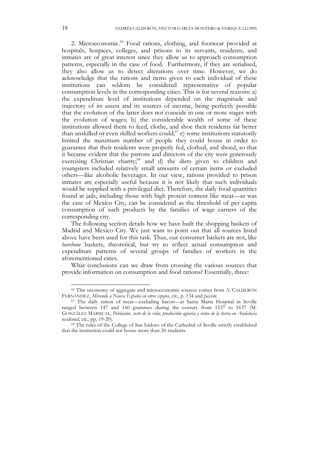2. Microeconomic.<sup>66</sup> Food rations, clothing, and footwear provided at hospitals, hospices, colleges, and prisons to its servants, residents, and inmates are of great interest since they allow us to approach consumption patterns, especially in the case of food. Furthermore, if they are serialised, they also allow us to detect alterations over time. However, we do acknowledge that the rations and items given to each individual of these institutions can seldom be considered representative of popular consumption levels in the corresponding cities. This is for several reasons: a) the expenditure level of institutions depended on the magnitude and trajectory of its assets and its sources of income, being perfectly possible that the evolution of the latter does not coincide in one or more stages with the evolution of wages; b) the considerable wealth of some of these institutions allowed them to feed, clothe, and shoe their residents far better than unskilled or even skilled workers could; $67$  c) some institutions statutorily limited the maximum number of people they could house in order to guarantee that their residents were properly fed, clothed, and shoed, so that it became evident that the patrons and directors of the city were generously exercising Christian charity;<sup>68</sup> and d) the diets given to children and youngsters included relatively small amounts of certain items or excluded others—like alcoholic beverages. In our view, rations provided to prison inmates are especially useful because it is not likely that such individuals would be supplied with a privileged diet. Therefore, the daily food quantities found at jails, including those with high protein content like meat—as was the case of Mexico City, can be considered as the threshold of per capita consumption of such products by the families of wage earners of the corresponding city.

The following section details how we have built the shopping baskets of Madrid and Mexico City. We just want to point out that all sources listed above have been used for this task. Thus, our consumer baskets are not, like *barebone* baskets, theoretical, but try to reflect actual consumption and expenditure patterns of several groups of families of workers in the aforementioned cities.

What conclusions can we draw from crossing the various sources that provide information on consumption and food rations? Essentially, three:

 <sup>66</sup> This taxonomy of aggregate and microeconomic sources comes from A. CALDERÓN FERNÁNDEZ, *Mirando a Nueva España en otros espejos*, cit., p. 134 and *passim*.

<sup>67</sup> The daily ration of meat—excluding bacon—at Santa Marta Hospital in Seville ranged between 147 and 160 grammes during the century from 1537 to 1637 (M. GONZÁLEZ MARISCAL, *Población, coste de la vida, producción agraria y renta de la tierra en Andalucía occidental*, cit., pp. 19-20).

<sup>68</sup> The rules of the College of San Isidoro of the Cathedral of Seville strictly established that the institution could not house more than 20 students.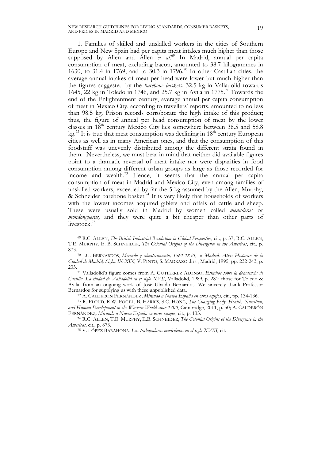1. Families of skilled and unskilled workers in the cities of Southern Europe and New Spain had per capita meat intakes much higher than those supposed by Allen and Allen et al.<sup>69</sup> In Madrid, annual per capita consumption of meat, excluding bacon, amounted to 38.7 kilogrammes in 1630, to 31.4 in 1769, and to 30.3 in 1796.70 In other Castilian cities, the average annual intakes of meat per head were lower but much higher than the figures suggested by the *barebone baskets:* 32.5 kg in Valladolid towards 1645,  $\overline{22}$  kg in Toledo in 1746, and 25.7 kg in Avila in 1775.<sup>71</sup> Towards the end of the Enlightenment century, average annual per capita consumption of meat in Mexico City, according to travellers' reports, amounted to no less than 98.5 kg. Prison records corroborate the high intake of this product; thus, the figure of annual per head consumption of meat by the lower classes in  $18<sup>th</sup>$  century Mexico City lies somewhere between 36.5 and 58.8 kg.<sup>72</sup> It is true that meat consumption was declining in  $18<sup>th</sup>$  century European cities as well as in many American ones, and that the consumption of this foodstuff was unevenly distributed among the different strata found in them. Nevertheless, we must bear in mind that neither did available figures point to a dramatic reversal of meat intake nor were disparities in food consumption among different urban groups as large as those recorded for income and wealth.73 Hence, it seems that the annual per capita consumption of meat in Madrid and Mexico City, even among families of unskilled workers, exceeded by far the 5 kg assumed by the Allen, Murphy, & Schneider barebone basket.<sup>74</sup> It is very likely that households of workers with the lowest incomes acquired giblets and offals of cattle and sheep. These were usually sold in Madrid by women called *menuderas* or *mondongueras,* and they were quite a bit cheaper than other parts of livestock.<sup>75</sup>

 <sup>69</sup> R.C. ALLEN, *The British Industrial Revolution in Global Perspective*, cit., p. 37; R.C. ALLEN, T.E. MURPHY, E. B. SCHNEIDER, *The Colonial Origins of the Divergence in the Americas*, cit., p. 873.

<sup>70</sup> J.U. BERNARDOS, *Mercado y abastecimiento, 1561-1850*, in *Madrid. Atlas Histórico de la Ciudad de Madrid, Siglos IX-XIX*, V. PINTO, S. MADRAZO dirs., Madrid, 1995, pp. 232-243, p. 233.

<sup>71</sup> Valladolid's figure comes from A. GUTIÉRREZ ALONSO, *Estudios sobre la decadencia de Castilla. La ciudad de Valladolid en el siglo XVII*, Valladolid, 1989, p. 281; those for Toledo & Avila, from an ongoing work of José Ubaldo Bernardos. We sincerely thank Professor Bernardos for supplying us with these unpublished data. 72 A. CALDERÓN FERNÁNDEZ, *Mirando a Nueva España en otros espejos*, cit., pp. 134-136.

<sup>73</sup> R. FLOUD, R.W. FOGEL, B. HARRIS, S.C. HONG, *The Changing Body. Health, Nutrition, and Human Development in the Western World since 1700*, Cambridge, 2011, p. 50; A. CALDERÓN FERNÁNDEZ*, Mirando a Nueva España en otros espejos*, cit., p. 133.

<sup>74</sup> R.C. ALLEN, T.E. MURPHY, E.B. SCHNEIDER, *The Colonial Origins of the Divergence in the Americas*, cit., p. 873.

<sup>75</sup> V. LÓPEZ BARAHONA, *Las trabajadoras madrileñas en el siglo XVIII,* cit.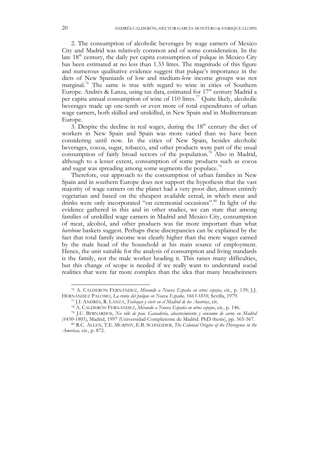2. The consumption of alcoholic beverages by wage earners of Mexico City and Madrid was relatively common and of some consideration. In the late  $18<sup>th</sup>$  century, the daily per capita consumption of pulque in Mexico City has been estimated at no less than 1.33 litres. The magnitude of this figure and numerous qualitative evidence suggest that pulque's importance in the diets of New Spaniards of low and medium-low income groups was not marginal.<sup>76</sup> The same is true with regard to wine in cities of Southern Europe. Andrés & Lanza, using tax data, estimated for  $17<sup>th</sup>$  century Madrid a per capita annual consumption of wine of 110 litres.<sup>77</sup> Quite likely, alcoholic beverages made up one-tenth or even more of total expenditures of urban wage earners, both skilled and unskilled, in New Spain and in Mediterranean Europe.

3. Despite the decline in real wages, during the  $18<sup>th</sup>$  century the diet of workers in New Spain and Spain was more varied than we have been considering until now. In the cities of New Spain, besides alcoholic beverages, cocoa, sugar, tobacco, and other products were part of the usual consumption of fairly broad sectors of the population.<sup>78</sup> Also in Madrid, although to a lesser extent, consumption of some products such as cocoa and sugar was spreading among some segments the populace.<sup>79</sup>

Therefore, our approach to the consumption of urban families in New Spain and in southern Europe does not support the hypothesis that the vast majority of wage earners on the planet had a very poor diet, almost entirely vegetarian and based on the cheapest available cereal, in which meat and drinks were only incorporated "on ceremonial occasions".<sup>80</sup> In light of the evidence gathered in this and in other studies, we can state that among families of unskilled wage earners in Madrid and Mexico City, consumption of meat, alcohol, and other products was far more important than what *barebone* baskets suggest. Perhaps these discrepancies can be explained by the fact that total family income was clearly higher than the mere wages earned by the male head of the household at his main source of employment. Hence, the unit suitable for the analysis of consumption and living standards is the family, not the male worker heading it. This raises many difficulties, but this change of scope is needed if we really want to understand social realities that were far more complex than the idea that many breadwinners

 <sup>76</sup> A. CALDERÓN FERNÁNDEZ, *Mirando a Nueva España en otros espejos*, cit., p. 139; J.J. HERNÁNDEZ PALOMO, *La renta del pulque en Nueva España, 1663-1810,* Sevilla, 1979.

<sup>77</sup> J.I. ANDRÉS, R. LANZA, *Trabajar y vivir en el Madrid de los Austrias*, cit.

<sup>78</sup> A. CALDERÓN FERNÁNDEZ, *Mirando a Nueva España en otros espejos*, cit., p. 146.

<sup>79</sup> J.U. BERNARDOS, *No sólo de pan. Ganadería, abastecimiento y consumo de carne en Madrid (1450-1805)*, Madrid, 1997 (Universidad Complutense de Madrid. PhD thesis), pp. 565-567.

<sup>80</sup> R.C. ALLEN, T.E. MURPHY, E.B. SCHNEIDER, *The Colonial Origins of the Divergence in the Americas,* cit., p. 872.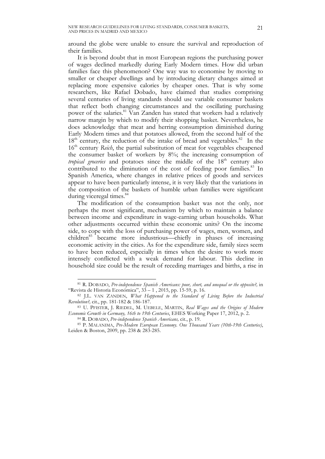around the globe were unable to ensure the survival and reproduction of their families.

It is beyond doubt that in most European regions the purchasing power of wages declined markedly during Early Modern times. How did urban families face this phenomenon? One way was to economise by moving to smaller or cheaper dwellings and by introducing dietary changes aimed at replacing more expensive calories by cheaper ones. That is why some researchers, like Rafael Dobado, have claimed that studies comprising several centuries of living standards should use variable consumer baskets that reflect both changing circumstances and the oscillating purchasing power of the salaries.<sup>81</sup> Van Zanden has stated that workers had a relatively narrow margin by which to modify their shopping basket. Nevertheless, he does acknowledge that meat and herring consumption diminished during Early Modern times and that potatoes allowed, from the second half of the  $18<sup>th</sup>$  century, the reduction of the intake of bread and vegetables.<sup>82</sup> In the 16<sup>th</sup> century *Reich*, the partial substitution of meat for vegetables cheapened the consumer basket of workers by 8%; the increasing consumption of tropical groceries and potatoes since the middle of the 18<sup>th</sup> century also contributed to the diminution of the cost of feeding poor families.<sup>83</sup> In Spanish America, where changes in relative prices of goods and services appear to have been particularly intense, it is very likely that the variations in the composition of the baskets of humble urban families were significant during viceregal times.<sup>84</sup>

The modification of the consumption basket was not the only, nor perhaps the most significant, mechanism by which to maintain a balance between income and expenditure in wage-earning urban households. What other adjustments occurred within these economic units? On the income side, to cope with the loss of purchasing power of wages, men, women, and children<sup>85</sup> became more industrious—chiefly in phases of increasing economic activity in the cities. As for the expenditure side, family sizes seem to have been reduced, especially in times when the desire to work more intensely conflicted with a weak demand for labour. This decline in household size could be the result of receding marriages and births, a rise in

 <sup>81</sup> R. DOBADO, *Pre-independence Spanish Americans: poor, short, and unequal or the opposite?,* in "Revista de Historia Económica",  $3\overline{3} - 1$ , 2015, pp. 15-59, p. 16.

<sup>82</sup> J.L. VAN ZANDEN, *What Happened to the Standard of Living Before the Industrial Revolution?,* cit., pp. 181-182 & 186-187.

<sup>83</sup> U. PFISTER, J. RIEDEL, M. UEBELE, MARTIN, *Real Wages and the Origins of Modern*  Economic Growth in Germany, 16th to 19th Centuries, EHES Working Paper 17, 2012, p. 2.<br><sup>84</sup> R. DOBADO, *Pre-independence Spanish Americans*, cit., p. 19.<br><sup>85</sup> P. MALANIMA, *Pre-Modern European Economy*. One Thousand Years

Leiden & Boston, 2009, pp. 238 & 283-285.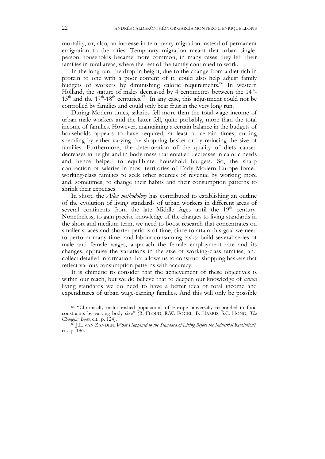mortality, or, also, an increase in temporary migration instead of permanent emigration to the cities. Temporary migration meant that urban singleperson households became more common; in many cases they left their families in rural areas, where the rest of the family continued to work.

In the long run, the drop in height, due to the change from a diet rich in protein to one with a poor content of it, could also help adjust family budgets of workers by diminishing caloric requirements.<sup>86</sup> In western Holland, the stature of males decreased by 4 centimetres between the  $14<sup>th</sup>$ - $15<sup>th</sup>$  and the  $17<sup>th</sup>$ -18<sup>th</sup> centuries.<sup>87</sup> In any case, this adjustment could not be controlled by families and could only bear fruit in the very long run.

During Modern times, salaries fell more than the total wage income of urban male workers and the latter fell, quite probably, more than the total income of families. However, maintaining a certain balance in the budgets of households appears to have required, at least at certain times, cutting spending by either varying the shopping basket or by reducing the size of families. Furthermore, the deterioration of the quality of diets caused decreases in height and in body mass that entailed decreases in caloric needs and hence helped to equilibrate household budgets. So, the sharp contraction of salaries in most territories of Early Modern Europe forced working-class families to seek other sources of revenue by working more and, sometimes, to change their habits and their consumption patterns to shrink their expenses.

In short, the *Allen methodology* has contributed to establishing an outline of the evolution of living standards of urban workers in different areas of several continents from the late Middle Ages until the 19<sup>th</sup> century. Nonetheless, to gain precise knowledge of the changes to living standards in the short and medium term, we need to boost research that concentrates on smaller spaces and shorter periods of time, since to attain this goal we need to perform many time- and labour-consuming tasks: build several series of male and female wages, approach the female employment rate and its changes, appraise the variations in the size of working-class families, and collect detailed information that allows us to construct shopping baskets that reflect various consumption patterns with accuracy.

It is chimeric to consider that the achievement of these objectives is within our reach, but we do believe that to deepen our knowledge of *actual*  living standards we do need to have a better idea of total income and expenditures of urban wage-earning families. And this will only be possible

<sup>86 &</sup>quot;Chronically malnourished populations of Europe universally responded to food constraints by varying body size" (R. FLOUD, R.W. FOGEL, B. HARRIS, S.C. HONG, *The Changing Body*, cit., p. 124).

<sup>87</sup> J.L. VAN ZANDEN, *What Happened to the Standard of Living Before the Industrial Revolution?,*  cit., p. 186.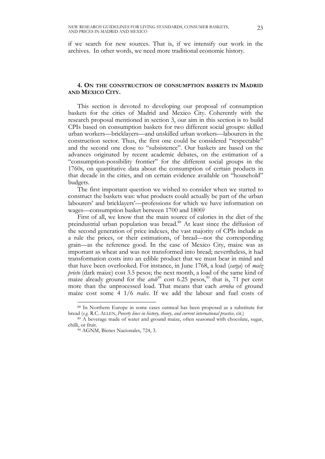if we search for new sources. That is, if we intensify our work in the archives. In other words, we need more traditional economic history.

# **4. ON THE CONSTRUCTION OF CONSUMPTION BASKETS IN MADRID AND MEXICO CITY.**

This section is devoted to developing our proposal of consumption baskets for the cities of Madrid and Mexico City. Coherently with the research proposal mentioned in section 3, our aim in this section is to build CPIs based on consumption baskets for two different social groups: skilled urban workers—bricklayers—and unskilled urban workers—labourers in the construction sector. Thus, the first one could be considered "respectable" and the second one close to "subsistence". Our baskets are based on the advances originated by recent academic debates, on the estimation of a "consumption-possibility frontier" for the different social groups in the 1760s, on quantitative data about the consumption of certain products in that decade in the cities, and on certain evidence available on "household" budgets.

The first important question we wished to consider when we started to construct the baskets was: what products could actually be part of the urban labourers' and bricklayers'—professions for which we have information on wages—consumption basket between 1700 and 1800?

First of all, we know that the main source of calories in the diet of the preindustrial urban population was bread.<sup>88</sup> At least since the diffusion of the second generation of price indexes, the vast majority of CPIs include as a rule the prices, or their estimations, of bread—not the corresponding grain—as the reference good. In the case of Mexico City, maize was as important as wheat and was not transformed into bread; nevertheless, it had transformation costs into an edible product that we must bear in mind and that have been overlooked. For instance, in June 1768, a load (*carga*) of *maíz prieto* (dark maize) cost 3.5 pesos; the next month, a load of the same kind of maize already ground for the *atole*<sup>89</sup> cost 6.25 pesos,<sup>90</sup> that is, 71 per cent more than the unprocessed load. That means that each *arroba* of ground maize cost some 4 1/6 *reales*. If we add the labour and fuel costs of

 <sup>88</sup> In Northern Europe in some cases oatmeal has been proposed as a substitute for bread (*e.g.* R.C. ALLEN, *Poverty lines in history, theory, and current international practice, cit.*) <sup>89</sup> A beverage made of water and ground maize, often seasoned with chocolate, sugar,

chilli, or fruit.

<sup>90</sup> AGNM, Bienes Nacionales, 724, 3.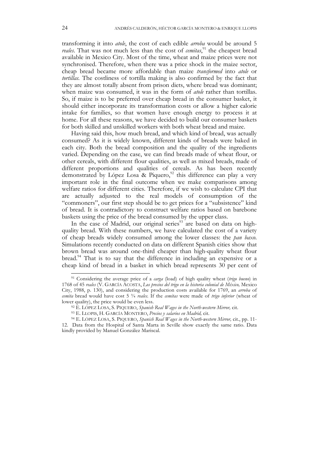transforming it into *atole*, the cost of each edible *arroba* would be around 5 reales. That was not much less than the cost of *cemitas*,<sup>91</sup> the cheapest bread available in Mexico City. Most of the time, wheat and maize prices were not synchronised. Therefore, when there was a price shock in the maize sector, cheap bread became more affordable than maize *transformed* into *atole* or *tortillas.* The costliness of tortilla making is also confirmed by the fact that they are almost totally absent from prison diets, where bread was dominant; when maize was consumed, it was in the form of *atole* rather than tortillas. So, if maize is to be preferred over cheap bread in the consumer basket, it should either incorporate its transformation costs or allow a higher calorie intake for families, so that women have enough energy to process it at home. For all these reasons, we have decided to build our consumer baskets for both skilled and unskilled workers with both wheat bread and maize.

Having said this, how much bread, and which kind of bread, was actually consumed? As it is widely known, different kinds of breads were baked in each city. Both the bread composition and the quality of the ingredients varied. Depending on the case, we can find breads made of wheat flour, or other cereals, with different flour qualities, as well as mixed breads, made of different proportions and qualities of cereals. As has been recently demonstrated by López Losa & Piquero,<sup>92</sup> this difference can play a very important role in the final outcome when we make comparisons among welfare ratios for different cities. Therefore, if we wish to calculate CPI that are actually adjusted to the real models of consumption of the "commoners", our first step should be to get prices for a "subsistence" kind of bread. It is contradictory to construct welfare ratios based on barebone baskets using the price of the bread consumed by the upper class.

In the case of Madrid, our original series<sup>93</sup> are based on data on highquality bread. With these numbers, we have calculated the cost of a variety of cheap breads widely consumed among the lower classes: the *pan baxo*. Simulations recently conducted on data on different Spanish cities show that brown bread was around one-third cheaper than high-quality wheat flour bread.<sup>94</sup> That is to say that the difference in including an expensive or a cheap kind of bread in a basket in which bread represents 30 per cent of

 <sup>91</sup> Considering the average price of a *carga* (load) of high quality wheat (*trigo bueno*) in 1768 of 45 *reales* (V. GARCÍA ACOSTA, *Los precios del trigo en la historia colonial de México,* Mexico City, 1988, p. 130), and considering the production costs available for 1769, an *arroba* of *cemita* bread would have cost 5 ¾ *reales*. If the *cemitas* were made of *trigo inferior* (wheat of lower quality), the price would be even less.

<sup>92</sup> E. LÓPEZ LOSA, S. PIQUERO, *Spanish Real Wages in the North-western Mirror,* cit.

<sup>93</sup> E. LLOPIS, H. GARCÍA MONTERO, *Precios y salarios en Madrid,* cit. 94 E. LÓPEZ LOSA, S. PIQUERO, *Spanish Real Wages in the North-western Mirror,* cit., pp. 11- 12. Data from the Hospital of Santa Marta in Seville show exactly the same ratio. Data kindly provided by Manuel González Mariscal.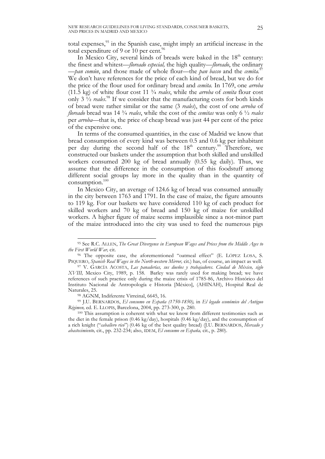total expenses,<sup>95</sup> in the Spanish case, might imply an artificial increase in the total expenditure of 9 or 10 per cent. $96$ 

In Mexico City, several kinds of breads were baked in the 18<sup>th</sup> century: the finest and whitest—*floreado especial,* the high quality—*floreado*, the ordinary —*pan común*, and those made of whole flour—the *pan basso* and the *cemita.*<sup>97</sup> We don't have references for the price of each kind of bread, but we do for the price of the flour used for ordinary bread and *cemita.* In 1769, one *arroba*  (11.5 kg) of white flour cost 11 ¾ *reales*, while the *arroba* of *cemita* flour cost only 3 ½ *reales*. <sup>98</sup> If we consider that the manufacturing costs for both kinds of bread were rather similar or the same (3 *reales*), the cost of one *arroba* of *floreado* bread was 14 ¾ *reales*, while the cost of the *cemitas* was only 6 ½ *reales* per *arroba—*that is, the price of cheap bread was just 44 per cent of the price of the expensive one.

In terms of the consumed quantities, in the case of Madrid we know that bread consumption of every kind was between 0.5 and 0.6 kg per inhabitant per day during the second half of the  $18<sup>th</sup>$  century.<sup>99</sup> Therefore, we constructed our baskets under the assumption that both skilled and unskilled workers consumed 200 kg of bread annually (0.55 kg daily). Thus, we assume that the difference in the consumption of this foodstuff among different social groups lay more in the quality than in the quantity of  $consumption.<sup>100</sup>$ 

In Mexico City, an average of 124.6 kg of bread was consumed annually in the city between 1763 and 1791. In the case of maize, the figure amounts to 119 kg. For our baskets we have considered 110 kg of each product for skilled workers and 70 kg of bread and 150 kg of maize for unskilled workers. A higher figure of maize seems implausible since a not-minor part of the maize introduced into the city was used to feed the numerous pigs

 <sup>95</sup> See R.C. ALLEN, *The Great Divergence in European Wages and Prices from the Middle Ages to* 

<sup>&</sup>lt;sup>96</sup> The opposite case, the aforementioned "oatmeal effect" (E. LÓPEZ LOSA, S. PIQUERO, *Spanish Real Wages in the North-western Mirror,* cit*.*) has, of course, an impact as well.

<sup>97</sup> V. GARCÍA ACOSTA, *Las panaderías, sus dueños y trabajadores. Ciudad de México, siglo XVIII,* Mexico City, 1989, p. 158. Barley was rarely used for making bread; we have references of such practice only during the maize crisis of 1785-86, Archivo Histórico del Instituto Nacional de Antropología e Historia [México], (AHINAH), Hospital Real de Naturales, 25. 98 AGNM, Indiferente Virreinal, 6645, 16.

<sup>99</sup> J.U. BERNARDOS, *El consumo en España (1750-1850),* in *El legado económico del Antiguo Régimen,* ed. E. LLOPIS, Barcelona, 2004, pp. 273-300, p. 280.

<sup>100</sup> This assumption is coherent with what we know from different testimonies such as the diet in the female prison (0.46 kg/day), hospitals (0.46 kg/day), and the consumption of a rich knight ("*caballero rico*") (0.46 kg of the best quality bread) (J.U. BERNARDOS, *Mercado y abastecimiento,* cit., pp. 232-234; also, IDEM, *El consumo en España,* cit., p. 280).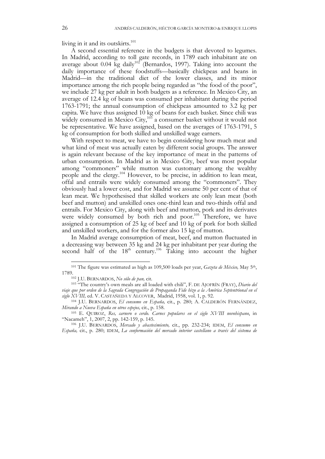living in it and its outskirts. $101$ 

A second essential reference in the budgets is that devoted to legumes. In Madrid, according to toll gate records, in 1789 each inhabitant ate on average about 0.04 kg daily<sup>102</sup> (Bernardos, 1997). Taking into account the daily importance of these foodstuffs—basically chickpeas and beans in Madrid—in the traditional diet of the lower classes, and its minor importance among the rich people being regarded as "the food of the poor", we include 27 kg per adult in both budgets as a reference. In Mexico City, an average of 12.4 kg of beans was consumed per inhabitant during the period 1763-1791; the annual consumption of chickpeas amounted to 3.2 kg per capita. We have thus assigned 10 kg of beans for each basket. Since chili was widely consumed in Mexico City, $10^{3}$  a consumer basket without it would not be representative. We have assigned, based on the averages of 1763-1791, 5 kg of consumption for both skilled and unskilled wage earners.

With respect to meat, we have to begin considering how much meat and what kind of meat was actually eaten by different social groups. The answer is again relevant because of the key importance of meat in the patterns of urban consumption. In Madrid as in Mexico City, beef was most popular among "commoners" while mutton was customary among the wealthy people and the clergy.<sup>104</sup> However, to be precise, in addition to lean meat, offal and entrails were widely consumed among the "commoners". They obviously had a lower cost, and for Madrid we assume 50 per cent of that of lean meat. We hypothesised that skilled workers ate only lean meat (both beef and mutton) and unskilled ones one-third lean and two-thirds offal and entrails. For Mexico City, along with beef and mutton, pork and its derivates were widely consumed by both rich and poor.<sup>105</sup> Therefore, we have assigned a consumption of 25 kg of beef and 10 kg of pork for both skilled and unskilled workers, and for the former also 15 kg of mutton.

In Madrid average consumption of meat, beef, and mutton fluctuated in a decreasing way between 35 kg and 24 kg per inhabitant per year during the second half of the  $18<sup>th</sup>$  century.<sup>106</sup> Taking into account the higher

 <sup>101</sup> The figure was estimated as high as 109,500 loads per year, *Gazeta de México,* May 5th, 1789.102 J.U. BERNARDOS, *No sólo de pan,* cit*.*

<sup>103</sup> "The country's own meals are all loaded with chili", F. DE AJOFRÍN (FRAY), *Diario del viaje que por orden de la Sagrada Congregación de Propaganda Fide hizo a la América Septentrional en el siglo XVIII,* ed. V. CASTAÑEDA Y ALCOVER, Madrid, 1958, vol. 1, p. 92.

<sup>104</sup> J.U. BERNARDOS, *El consumo en España,* cit., p. 280; A. CALDERÓN FERNÁNDEZ, *Mirando a Nueva España en otros espejos,* cit., p. 158.

<sup>105</sup> E. QUIROZ, *Res, carnero o cerdo. Carnes populares en el siglo XVIII novohispano*, in "Nacameh", 1, 2007, 2, pp. 142-159, p. 145.

<sup>106</sup> J.U. BERNARDOS, *Mercado y abastecimiento,* cit*.*, pp. 232-234; IDEM, *El consumo en España,* cit., p. 280; IDEM, *La conformación del mercado interior castellano a través del sistema de*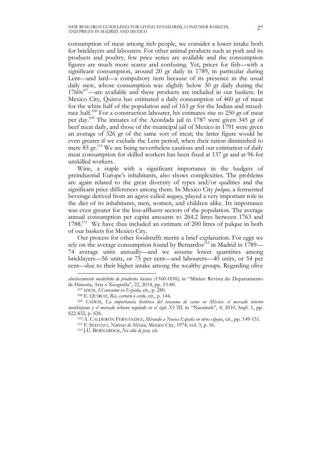consumption of meat among rich people, we consider a lower intake both for bricklayers and labourers. For other animal products such as pork and its products and poultry, few price series are available and the consumption figures are much more scarce and confusing. Yet, prices for fish—with a significant consumption, around 20 gr daily in 1789, in particular during Lent—and lard—a compulsory item because of its presence in the usual daily stew, whose consumption was slightly below 30 gr daily during the  $1760s<sup>107</sup>$ —are available and these products are included in our baskets. In Mexico City, Quiroz has estimated a daily consumption of 460 gr of meat for the white half of the population and of 163 gr for the Indian and mixedrace half.<sup>108</sup> For a construction labourer, his estimates rise to 250 gr of meat per day.109 The inmates of the Acordada jail in 1787 were given 345 gr of beef meat daily, and those of the municipal jail of Mexico in 1791 were given an average of 326 gr of the same sort of meat; the latter figure would be even greater if we exclude the Lent period, when their ration diminished to mere 85 gr.<sup>110</sup> We are being nevertheless cautious and our estimation of daily meat consumption for skilled workers has been fixed at 137 gr and at 96 for unskilled workers.

Wine, a staple with a significant importance in the budgets of preindustrial Europe's inhabitants, also shows complexities. The problems are again related to the great diversity of types and/or qualities and the significant price differences among them. In Mexico City *pulque,* a fermented beverage derived from an agave called *maguey,* played a very important role in the diet of its inhabitants, men, women, and children alike. Its importance was even greater for the less-affluent sectors of the population. The average annual consumption per capita amounts to 264.2 litres between 1763 and 1788.<sup>111</sup> We have thus included an estimate of 200 litres of pulque in both of our baskets for Mexico City.

Our process for other foodstuffs merits a brief explanation. For eggs we rely on the average consumption found by Bernardos<sup>112</sup> in Madrid in 1789— 74 average units annually—and we assume lower quantities among bricklayers—56 units, or 75 per cent—and labourers—40 units, or 54 per cent—due to their higher intake among the wealthy groups. Regarding olive

 $\overline{a}$ 

*abastecimiento madrileño de productos básicos (1560-1850),* in "Minius: Revista do Departamento de Historia, Arte e Xeografía", 22, 2014, pp. 53-80.

<sup>107</sup> IDEM, *El consumo en España,* cit., p. 280.

<sup>108</sup> E. QUIROZ, *Res, carnero o cerdo,* cit., p. 144.

<sup>109</sup> EADEM, *La importancia histórica del consumo de carne en México: el mercado interno novohispano y el mercado urbano regulado en el siglo XVIII,* in "Nacameh", 4, 2010, Supl. 1, pp. S22-S32, p. S26.

<sup>110</sup> A. CALDERÓN FERNÁNDEZ, *Mirando a Nueva España en otros espejos*, cit., pp. 149-151.

<sup>111</sup> F. SEDANO, *Noticias de México,* Mexico City, 1974, vol. 3, p. 56.

<sup>112</sup> J.U. BERNARDOS, *No sólo de pan,* cit.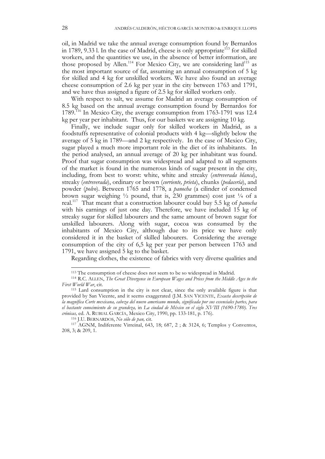oil, in Madrid we take the annual average consumption found by Bernardos in 1789, 9.33 l. In the case of Madrid, cheese is only appropriate<sup>113</sup> for skilled workers, and the quantities we use, in the absence of better information, are those proposed by Allen.<sup>114</sup> For Mexico City, we are considering lard<sup>115</sup> as the most important source of fat, assuming an annual consumption of 5 kg for skilled and 4 kg for unskilled workers. We have also found an average cheese consumption of 2.6 kg per year in the city between 1763 and 1791, and we have thus assigned a figure of 2.5 kg for skilled workers only.

With respect to salt, we assume for Madrid an average consumption of 8.5 kg based on the annual average consumption found by Bernardos for 1789.<sup>116</sup> In Mexico City, the average consumption from 1763-1791 was 12.4 kg per year per inhabitant. Thus, for our baskets we are assigning 10 kg.

Finally, we include sugar only for skilled workers in Madrid, as a foodstuffs representative of colonial products with 4 kg—slightly below the average of 5 kg in 1789—and 2 kg respectively. In the case of Mexico City, sugar played a much more important role in the diet of its inhabitants. In the period analysed, an annual average of 20 kg per inhabitant was found. Proof that sugar consumption was widespread and adapted to all segments of the market is found in the numerous kinds of sugar present in the city, including, from best to worst: white, white and streaky (*entreverada blanca*), streaky (*entreverada*), ordinary or brown (*corriente, prieta*), chunks (*pedacería*), and powder (*polvo*). Between 1765 and 1778, a *panocha* (a cilinder of condensed brown sugar weighing  $\frac{1}{2}$  pound, that is, 230 grammes) cost just  $\frac{1}{4}$  of a real.117 That meant that a construction labourer could buy 5.5 kg of *panocha* with his earnings of just one day. Therefore, we have included 15 kg of streaky sugar for skilled labourers and the same amount of brown sugar for unskilled labourers. Along with sugar, cocoa was consumed by the inhabitants of Mexico City, although due to its price we have only considered it in the basket of skilled labourers. Considering the average consumption of the city of 6,5 kg per year per person between 1763 and 1791, we have assigned 5 kg to the basket.

Regarding clothes, the existence of fabrics with very diverse qualities and

 <sup>113</sup> The consumption of cheese does not seem to be so widespread in Madrid.

<sup>114</sup> R.C. ALLEN, *The Great Divergence in European Wages and Prices from the Middle Ages to the First World War*, cit.

<sup>115</sup> Lard consumption in the city is not clear, since the only available figure is that provided by San Vicente, and it seems exaggerated (J.M. SAN VICENTE, *Exacta descripción de la magnífica Corte mexicana, cabeza del nuevo americano mundo, significada por sus essenciales partes, para el bastante conocimiento de su grandeza,* in *La ciudad de México en el siglo XVIII (1690-1780). Tres crónicas,* ed. A. RUBIAL GARCÍA, Mexico City, 1990, pp. 133-181, p. 176).

<sup>116</sup> J.U. BERNARDOS, *No sólo de pan,* cit. 117 AGNM, Indiferente Virreinal, 643, 18; 687, 2 ; & 3124, 6; Templos y Conventos, 208, 3; & 209, 1.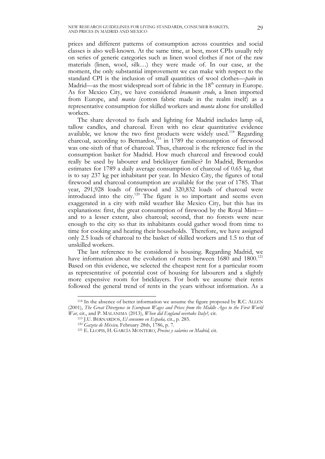prices and different patterns of consumption across countries and social classes is also well-known. At the same time, at best, most CPIs usually rely on series of generic categories such as linen wool clothes if not of the raw materials (linen, wool, silk…) they were made of. In our case, at the moment, the only substantial improvement we can make with respect to the standard CPI is the inclusion of small quantities of wool clothes—*paño* in Madrid—as the most widespread sort of fabric in the  $18<sup>th</sup>$  century in Europe. As for Mexico City, we have considered *bramante crudo*, a linen imported from Europe, and *manta* (cotton fabric made in the realm itself) as a representative consumption for skilled workers and *manta* alone for unskilled workers.

The share devoted to fuels and lighting for Madrid includes lamp oil, tallow candles, and charcoal. Even with no clear quantitative evidence available, we know the two first products were widely used.<sup>118</sup> Regarding charcoal, according to Bernardos,<sup>119</sup> in 1789 the consumption of firewood was one-sixth of that of charcoal. Thus, charcoal is the reference fuel in the consumption basket for Madrid. How much charcoal and firewood could really be used by labourer and bricklayer families? In Madrid, Bernardos estimates for 1789 a daily average consumption of charcoal of 0.65 kg, that is to say 237 kg per inhabitant per year. In Mexico City, the figures of total firewood and charcoal consumption are available for the year of 1785. That year, 291,928 loads of firewood and 320,832 loads of charcoal were introduced into the city.<sup>120</sup> The figure is so important and seems even exaggerated in a city with mild weather like Mexico City, but this has its explanations: first, the great consumption of firewood by the Royal Mint and to a lesser extent, also charcoal; second, that no forests were near enough to the city so that its inhabitants could gather wood from time to time for cooking and heating their households. Therefore, we have assigned only 2.5 loads of charcoal to the basket of skilled workers and 1.5 to that of unskilled workers.

The last reference to be considered is housing. Regarding Madrid, we have information about the evolution of rents between 1680 and 1800.<sup>121</sup> Based on this evidence, we selected the cheapest rent for a particular room as representative of potential cost of housing for labourers and a slightly more expensive room for bricklayers. For both we assume their rents followed the general trend of rents in the years without information. As a

 <sup>118</sup> In the absence of better information we assume the figure proposed by R.C. ALLEN (2001), *The Great Divergence in European Wages and Prices from the Middle Ages to the First World War,* cit., and P. MALANIMA (2013), *When did England overtake Italy?,* cit.

<sup>119</sup> J.U. BERNARDOS, *El consumo en España,* cit., p. 285.

<sup>120</sup> *Gazeta de México,* February 28th, 1786, p. 7.

<sup>121</sup> E. LLOPIS, H. GARCÍA MONTERO, *Precios y salarios en Madrid,* cit.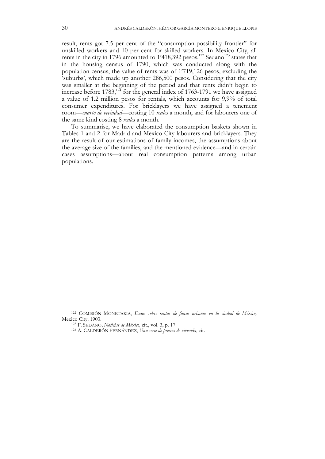result, rents got 7.5 per cent of the "consumption-possibility frontier" for unskilled workers and 10 per cent for skilled workers. In Mexico City, all rents in the city in 1796 amounted to 1'418,392 pesos.<sup>122</sup> Sedano<sup>123</sup> states that in the housing census of 1790, which was conducted along with the population census, the value of rents was of 1'719,126 pesos, excluding the 'suburbs', which made up another 286,500 pesos. Considering that the city was smaller at the beginning of the period and that rents didn't begin to increase before  $1783$ ,<sup>124</sup> for the general index of 1763-1791 we have assigned a value of 1.2 million pesos for rentals, which accounts for 9,9% of total consumer expenditures. For bricklayers we have assigned a tenement room—*cuarto de vecindad*—costing 10 *reales* a month, and for labourers one of the same kind costing 8 *reales* a month.

To summarise, we have elaborated the consumption baskets shown in Tables 1 and 2 for Madrid and Mexico City labourers and bricklayers. They are the result of our estimations of family incomes, the assumptions about the average size of the families, and the mentioned evidence—and in certain cases assumptions—about real consumption patterns among urban populations.

 <sup>122</sup> COMISIÓN MONETARIA, *Datos sobre rentas de fincas urbanas en la ciudad de México,*  Mexico City, 1903.

<sup>123</sup> F. SEDANO, *Noticias de México,* cit., vol. 3, p. 17.

<sup>124</sup> A. CALDERÓN FERNÁNDEZ, *Una serie de precios de vivienda*, cit.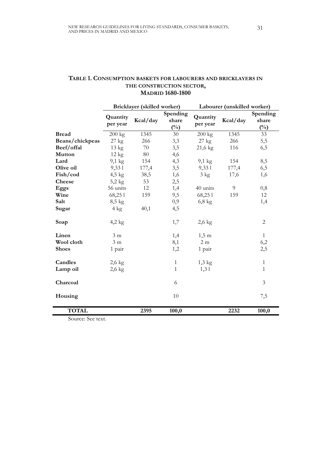# **TABLE 1. CONSUMPTION BASKETS FOR LABOURERS AND BRICKLAYERS IN THE CONSTRUCTION SECTOR, MADRID 1680-1800**

|                 | Bricklayer (skilled worker) |          |                                   | Labourer (unskilled worker) |          |                          |
|-----------------|-----------------------------|----------|-----------------------------------|-----------------------------|----------|--------------------------|
|                 | Quantity<br>per year        | Kcal/day | Spending<br>share<br>$(^{0}_{0})$ | Quantity<br>per year        | Kcal/day | Spending<br>share<br>(%) |
| <b>Bread</b>    | 200 kg                      | 1345     | 30                                | $200 \text{ kg}$            | 1345     | 33                       |
| Beans/chickpeas | $27$ kg                     | 266      | 3,3                               | $27$ kg                     | 266      | 5,5                      |
| Beef/offal      | 13 kg                       | 70       | 3,5                               | $21,6$ kg                   | 116      | 6,5                      |
| <b>Mutton</b>   | $12 \text{ kg}$             | 80       | 4,6                               |                             |          |                          |
| Lard            | $9,1 \text{ kg}$            | 154      | 4,3                               | $9,1 \text{ kg}$            | 154      | 8,5                      |
| Olive oil       | 9,33 1                      | 177,4    | 3,5                               | 9,33 1                      | 177,4    | 6,5                      |
| Fish/cod        | $4,5$ kg                    | 38,5     | 1,6                               | $3 \text{ kg}$              | 17,6     | 1,6                      |
| <b>Cheese</b>   | $5,2$ kg                    | 53       | 2,5                               |                             |          |                          |
| Eggs            | 56 units                    | 12       | 1,4                               | 40 units                    | 9        | 0,8                      |
| Wine            | 68,251                      | 159      | 9,5                               | 68,251                      | 159      | 12                       |
| Salt            | $8,5 \text{ kg}$            |          | 0,9                               | $6,8 \text{ kg}$            |          | 1,4                      |
| Sugar           | $4 \text{ kg}$              | 40,1     | 4,5                               |                             |          |                          |
| Soap            | $4,2$ kg                    |          | 1,7                               | $2,6$ kg                    |          | $\mathbf{2}$             |
| Linen           | 3 <sub>m</sub>              |          | 1,4                               | $1,5 \text{ m}$             |          | $\mathbf{1}$             |
| Wool cloth      | 3 <sub>m</sub>              |          | 8,1                               | 2 <sub>m</sub>              |          | 6,2                      |
| <b>Shoes</b>    | 1 pair                      |          | 1,2                               | 1 pair                      |          | 2,5                      |
| Candles         | $2,6$ kg                    |          | $\mathbf{1}$                      | $1,3$ kg                    |          | $\mathbf{1}$             |
| Lamp oil        | $2,6$ kg                    |          | $\mathbf{1}$                      | 1,31                        |          | $\mathbf{1}$             |
| Charcoal        |                             |          | 6                                 |                             |          | 3                        |
| Housing         |                             |          | 10                                |                             |          | 7,5                      |
| <b>TOTAL</b>    |                             | 2395     | 100,0                             |                             | 2232     | 100,0                    |

Source: See text.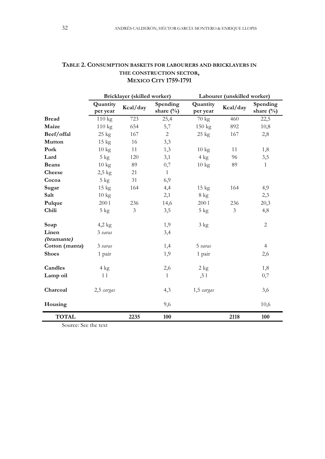|                | Bricklayer (skilled worker) |                |                           | Labourer (unskilled worker) |                |                          |
|----------------|-----------------------------|----------------|---------------------------|-----------------------------|----------------|--------------------------|
|                | Quantity<br>per year        | Kcal/day       | Spending<br>share $(\% )$ | Quantity<br>per year        | Kcal/day       | Spending<br>share $(\%)$ |
| <b>Bread</b>   | 110 kg                      | 723            | 25,4                      | 70 kg                       | 460            | 22,5                     |
| Maize          | $110 \text{ kg}$            | 654            | 5,7                       | $150 \text{ kg}$            | 892            | 10,8                     |
| Beef/offal     | $25 \text{ kg}$             | 167            | $\overline{2}$            | $25 \text{ kg}$             | 167            | 2,8                      |
| <b>Mutton</b>  | $15 \text{ kg}$             | 16             | 3,3                       |                             |                |                          |
| Pork           | $10 \text{ kg}$             | 11             | 1,3                       | $10 \text{ kg}$             | 11             | 1,8                      |
| Lard           | $5 \text{ kg}$              | 120            | 3,1                       | $4 \text{ kg}$              | 96             | 3,5                      |
| <b>Beans</b>   | $10 \text{ kg}$             | 89             | 0,7                       | $10 \text{ kg}$             | 89             | $\mathbf{1}$             |
| Cheese         | $2,5$ kg                    | 21             | 1                         |                             |                |                          |
| Cocoa          | $5 \text{ kg}$              | 31             | 6,9                       |                             |                |                          |
| Sugar          | $15 \text{ kg}$             | 164            | 4,4                       | $15 \text{ kg}$             | 164            | 4,9                      |
| Salt           | $10 \text{ kg}$             |                | 2,1                       | $8 \text{ kg}$              |                | 2,3                      |
| Pulque         | 2001                        | 236            | 14,6                      | 2001                        | 236            | 20,3                     |
| Chili          | $5 \text{ kg}$              | $\mathfrak{Z}$ | 3,5                       | $5 \text{ kg}$              | $\mathfrak{Z}$ | 4,8                      |
| Soap           | $4,2$ kg                    |                | 1,9                       | $3 \text{ kg}$              |                | $\overline{2}$           |
| Linen          | 3 varas                     |                | 3,4                       |                             |                |                          |
| (bramante)     |                             |                |                           |                             |                |                          |
| Cotton (manta) | 3 varas                     |                | 1,4                       | 5 varas                     |                | $\overline{4}$           |
| <b>Shoes</b>   | 1 pair                      |                | 1,9                       | 1 pair                      |                | 2,6                      |
| Candles        | $4 \text{ kg}$              |                | 2,6                       | $2 \text{ kg}$              |                | 1,8                      |
| Lamp oil       | 11                          |                | $\mathbf{1}$              | , 51                        |                | 0,7                      |
| Charcoal       | 2,5 cargas                  |                | 4,3                       | 1,5 cargas                  |                | 3,6                      |
| Housing        |                             |                | 9,6                       |                             |                | 10,6                     |
| <b>TOTAL</b>   |                             | 2235           | 100                       |                             | 2118           | 100                      |

# **TABLE 2. CONSUMPTION BASKETS FOR LABOURERS AND BRICKLAYERS IN THE CONSTRUCTION SECTOR, MEXICO CITY 1759-1791**

Source: See the text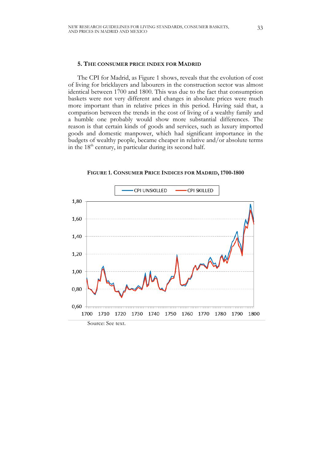# **5. THE CONSUMER PRICE INDEX FOR MADRID**

The CPI for Madrid, as Figure 1 shows, reveals that the evolution of cost of living for bricklayers and labourers in the construction sector was almost identical between 1700 and 1800. This was due to the fact that consumption baskets were not very different and changes in absolute prices were much more important than in relative prices in this period. Having said that, a comparison between the trends in the cost of living of a wealthy family and a humble one probably would show more substantial differences. The reason is that certain kinds of goods and services, such as luxury imported goods and domestic manpower, which had significant importance in the budgets of wealthy people, became cheaper in relative and/or absolute terms in the  $18<sup>th</sup>$  century, in particular during its second half.



**FIGURE 1. CONSUMER PRICE INDICES FOR MADRID, 1700-1800**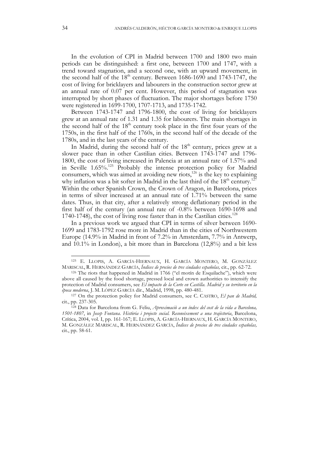In the evolution of CPI in Madrid between 1700 and 1800 two main periods can be distinguished: a first one, between 1700 and 1747, with a trend toward stagnation, and a second one, with an upward movement, in the second half of the  $18<sup>th</sup>$  century. Between  $1686-1690$  and  $1743-1747$ , the cost of living for bricklayers and labourers in the construction sector grew at an annual rate of 0.07 per cent. However, this period of stagnation was interrupted by short phases of fluctuation. The major shortages before 1750 were registered in 1699-1700, 1707-1713, and 1735-1742.

Between 1743-1747 and 1796-1800, the cost of living for bricklayers grew at an annual rate of 1.31 and 1.35 for labourers. The main shortages in the second half of the  $18<sup>th</sup>$  century took place in the first four years of the 1750s, in the first half of the 1760s, in the second half of the decade of the 1780s, and in the last years of the century.

In Madrid, during the second half of the  $18<sup>th</sup>$  century, prices grew at a slower pace than in other Castilian cities. Between 1743-1747 and 1796- 1800, the cost of living increased in Palencia at an annual rate of 1.57% and in Seville 1.65%.125 Probably the intense protection policy for Madrid consumers, which was aimed at avoiding new riots, $126$  is the key to explaining why inflation was a bit softer in Madrid in the last third of the  $18<sup>th</sup>$  century.<sup>12</sup> Within the other Spanish Crown, the Crown of Aragon, in Barcelona, prices in terms of silver increased at an annual rate of 1.71% between the same dates. Thus, in that city, after a relatively strong deflationary period in the first half of the century (an annual rate of -0.8% between 1690-1698 and 1740-1748), the cost of living rose faster than in the Castilian cities. 128

In a previous work we argued that CPI in terms of silver between 1690- 1699 and 1783-1792 rose more in Madrid than in the cities of Northwestern Europe (14.9% in Madrid in front of 7.2% in Amsterdam, 7.7% in Antwerp, and 10.1% in London), a bit more than in Barcelona (12,8%) and a bit less

 <sup>125</sup> E. LLOPIS, A. GARCÍA-HIERNAUX, H. GARCÍA MONTERO, M. GONZÁLEZ MARISCAL, R. HERNÁNDEZ GARCÍA, *Índices de precios de tres ciudades españolas,* cit., pp. 62-72.

 $126$  The riots that happened in Madrid in 1766 ("el motín de Esquilache"), which were above all caused by the food shortage, pressed local and crown authorities to intensify the protection of Madrid consumers, see *El impacto de la Corte en Castilla. Madrid y su territorio en la* 

*época moderna*, J. M. LÓPEZ GARCÍA dir., Madrid, 1998, pp. 480-481. 127 On the protection policy for Madrid consumers, see C. CASTRO, *El pan de Madrid,*  cit., pp. 237-305.

<sup>128</sup> Data for Barcelona from G. Feliu, *Aproximaciò a un índex del cost de la vida a Barcelona, 1501-1807*, in *Josep Fontana. Història i projecte social. Reconeixement a una trajèctoria*, Barcelona, Crítica, 2004, vol. I, pp. 161-167; E. LLOPIS, A. GARCÍA-HIERNAUX, H. GARCÍA MONTERO, M. GONZÁLEZ MARISCAL, R. HERNÁNDEZ GARCÍA, *Índices de precios de tres ciudades españolas,*  cit., pp. 58-61.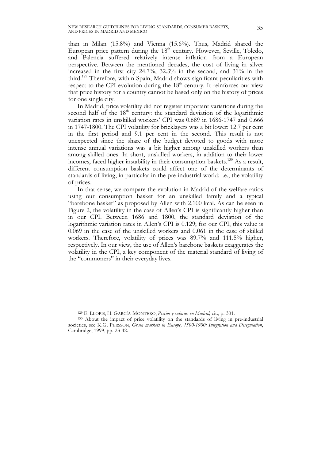than in Milan (15.8%) and Vienna (15.6%). Thus, Madrid shared the European price pattern during the  $18<sup>th</sup>$  century. However, Seville, Toledo, and Palencia suffered relatively intense inflation from a European perspective. Between the mentioned decades, the cost of living in silver increased in the first city 24.7%, 32.3% in the second, and 31% in the third.<sup>129</sup> Therefore, within Spain, Madrid shows significant peculiarities with respect to the CPI evolution during the 18<sup>th</sup> century. It reinforces our view that price history for a country cannot be based only on the history of prices for one single city.

In Madrid, price volatility did not register important variations during the second half of the  $18<sup>th</sup>$  century: the standard deviation of the logarithmic variation rates in unskilled workers' CPI was 0.689 in 1686-1747 and 0.666 in 1747-1800. The CPI volatility for bricklayers was a bit lower: 12.7 per cent in the first period and 9.1 per cent in the second. This result is not unexpected since the share of the budget devoted to goods with more intense annual variations was a bit higher among unskilled workers than among skilled ones. In short, unskilled workers, in addition to their lower incomes, faced higher instability in their consumption baskets.<sup>130</sup> As a result, different consumption baskets could affect one of the determinants of standards of living, in particular in the pre-industrial world: i.e., the volatility of prices.

In that sense, we compare the evolution in Madrid of the welfare ratios using our consumption basket for an unskilled family and a typical "barebone basket" as proposed by Allen with 2,100 kcal. As can be seen in Figure 2, the volatility in the case of Allen's CPI is significantly higher than in our CPI. Between 1686 and 1800, the standard deviation of the logarithmic variation rates in Allen's CPI is 0.129; for our CPI, this value is 0.069 in the case of the unskilled workers and 0.061 in the case of skilled workers. Therefore, volatility of prices was 89.7% and 111.5% higher, respectively. In our view, the use of Allen's barebone baskets exaggerates the volatility in the CPI, a key component of the material standard of living of the "commoners" in their everyday lives.

 <sup>129</sup> E. LLOPIS, H. GARCÍA-MONTERO, *Precios y salarios en Madrid,* cit., p. 301.

<sup>130</sup> About the impact of price volatility on the standards of living in pre-industrial societies, see K.G. PERSSON, *Grain markets in Europe, 1500-1900: Integration and Deregulation*, Cambridge, 1999, pp. 23-42.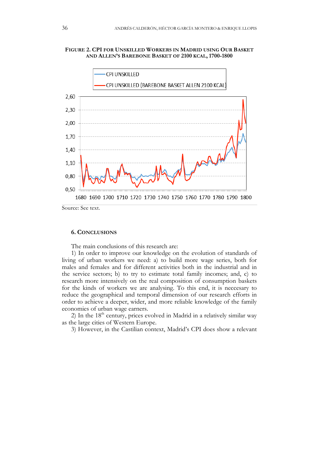# **FIGURE 2. CPI FOR UNSKILLED WORKERS IN MADRID USING OUR BASKET AND ALLEN'S BAREBONE BASKET OF 2100 KCAL, 1700-1800**



# **6. CONCLUSIONS**

The main conclusions of this research are:

1) In order to improve our knowledge on the evolution of standards of living of urban workers we need: a) to build more wage series, both for males and females and for different activities both in the industrial and in the service sectors; b) to try to estimate total family incomes; and, c) to research more intensively on the real composition of consumption baskets for the kinds of workers we are analysing. To this end, it is neccesary to reduce the geographical and temporal dimension of our research efforts in order to achieve a deeper, wider, and more reliable knowledge of the family economies of urban wage earners.

2) In the  $18<sup>th</sup>$  century, prices evolved in Madrid in a relatively similar way as the large cities of Western Europe.

3) However, in the Castilian context, Madrid's CPI does show a relevant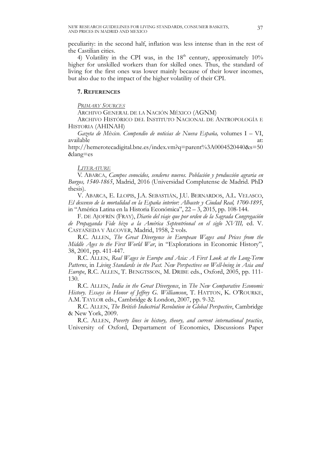peculiarity: in the second half, inflation was less intense than in the rest of the Castilian cities.

4) Volatility in the CPI was, in the  $18<sup>th</sup>$  century, approximately  $10<sup>o</sup>$ higher for unskilled workers than for skilled ones. Thus, the standard of living for the first ones was lower mainly because of their lower incomes, but also due to the impact of the higher volatility of their CPI.

# **7. REFERENCES**

*PRIMARY SOURCES*

ARCHIVO GENERAL DE LA NACIÓN MÉXICO (AGNM)

ARCHIVO HISTÓRICO DEL INSTITUTO NACIONAL DE ANTROPOLOGÍA E HISTORIA (AHINAH)

*Gazeta de México*. *Compendio de noticias de Nueva España,* volumes I – VI, available at: a contract at: a contract at: a contract at: a contract at: a contract at:

http://hemerotecadigital.bne.es/index.vm?q=parent%3A0004520440&s=50 &lang=es

# *LITERATURE*

V. ABARCA, *Campos conocidos, senderos nuevos. Población y producción agraria en Burgos, 1540-1865*, Madrid, 2016 (Universidad Complutense de Madrid. PhD thesis).

V. ABARCA, E. LLOPIS, J.A. SEBASTIÁN, J.U. BERNARDOS, A.L. VELASCO, *El descenso de la mortalidad en la España interior: Albacete y Ciudad Real, 1700-1895*, in "América Latina en la Historia Económica", 22 – 3, 2015, pp. 108-144.

F. DE AJOFRÍN (FRAY), *Diario del viaje que por orden de la Sagrada Congregación de Propaganda Fide hizo a la América Septentrional en el siglo XVIII,* ed. V. CASTAÑEDA Y ALCOVER, Madrid, 1958, 2 vols.

R.C. ALLEN, *The Great Divergence in European Wages and Prices from the Middle Ages to the First World War*, in "Explorations in Economic History", 38, 2001, pp. 411-447.

R.C. ALLEN, *Real Wages in Europe and Asia: A First Look at the Long-Term Patterns*, in *Living Standards in the Past. New Perspectives on Well-being in Asia and Europe*, R.C. ALLEN, T. BENGTSSON, M. DRIBE eds., Oxford, 2005, pp. 111- 130.

R.C. ALLEN, *India in the Great Divergence*, in *The New Comparative Economic History. Essays in Honor of Jeffrey G. Williamson*, T. HATTON, K. O'ROURKE, A.M. TAYLOR eds., Cambridge & London, 2007, pp. 9-32.

R.C. ALLEN, *The British Industrial Revolution in Global Perspective*, Cambridge & New York, 2009.

R.C. ALLEN, *Poverty lines in history, theory, and current international practice*, University of Oxford, Departament of Economics, Discussions Paper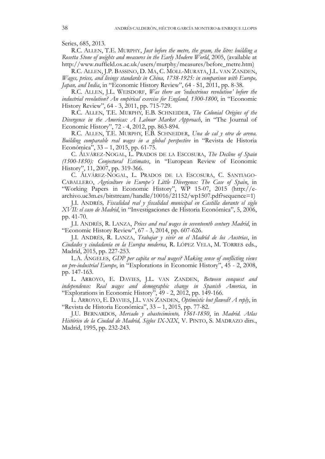Series, 685, 2013.

R.C. ALLEN, T.E. MURPHY, *Just before the metre, the gram, the litre: building a Rosetta Stone of weights and measures in the Early Modern World*, 2005, (available at http://www.nuffield.ox.ac.uk/users/murphy/measures/before\_metre.htm)

R.C. ALLEN, J.P. BASSINO, D. MA, C. MOLL-MURATA, J.L. VAN ZANDEN, *Wages, prices, and livings standards in China, 1738-1925: in comparison with Europe, Japan, and India*, in "Economic History Review", 64 - S1, 2011, pp. 8-38.

R.C. ALLEN, J.L. WEISDORF, *Was there an 'industrious revolution' before the industrial revolution? An empirical exercise for England, 1300-1800*, in "Economic History Review", 64 - 3, 2011, pp. 715-729.

R.C. ALLEN, T.E. MURPHY, E.B. SCHNEIDER, *The Colonial Origins of the Divergence in the Americas: A Labour Market Approach*, in "The Journal of Economic History", 72 - 4, 2012, pp. 863-894.

R.C. ALLEN, T.E. MURPHY, E.B. SCHNEIDER, *Una de cal y otra de arena. Building comparable real wages in a global perspective* in "Revista de Historia Económica", 33 – 1, 2015, pp. 61-75.

C. ÁLVÁREZ-NOGAL, L. PRADOS DE LA ESCOSURA, *The Decline of Spain (1500-1850): Conjectural Estimates*, in "European Review of Economic History", 11, 2007, pp. 319-366.

C. ÁLVÁREZ-NOGAL, L. PRADOS DE LA ESCOSURA, C. SANTIAGO-CABALLERO, *Agriculture in Europe´s Little Divergence: The Case of Spain*, in "Working Papers in Economic History", WP 15-07, 2015 (http://earchivo.uc3m.es/bitstream/handle/10016/21152/wp1507.pdf?sequence=1)

J.I. ANDRÉS*, Fiscalidad real y fiscalidad municipal en Castilla durante el siglo XVII: el caso de Madrid*, in "Investigaciones de Historia Económica", 5, 2006, pp. 41-70.

J.I. ANDRÉS, R. LANZA, *Prices and real wages in seventeenth century Madrid*, in "Economic History Review", 67 - 3, 2014, pp. 607-626.

J.I. ANDRÉS, R. LANZA, *Trabajar y vivir en el Madrid de los Austrias*, in *Ciudades y ciudadanía en la Europa moderna*, R. LÓPEZ VELA, M. TORRES eds., Madrid, 2015, pp. 227-253.

L.A. ÁNGELES, *GDP per capita or real wages? Making sense of conflicting views on pre-industrial Europe*, in "Explorations in Economic History", 45 - 2, 2008, pp. 147-163.

L. ARROYO, E. DAVIES, J.L. VAN ZANDEN, *Between conquest and independence: Real wages and demographic change in Spanish America*, in "Explorations in Economic History", 49 - 2, 2012, pp. 149-166.

L. ARROYO, E. DAVIES, J.L. VAN ZANDEN, *Optimistic but flawed? A reply*, in "Revista de Historia Económica", 33 – 1, 2015, pp. 77-82.

J.U. BERNARDOS, *Mercado y abastecimiento, 1561-1850*, in *Madrid. Atlas Histórico de la Ciudad de Madrid, Siglos IX-XIX*, V. PINTO, S. MADRAZO dirs., Madrid, 1995, pp. 232-243.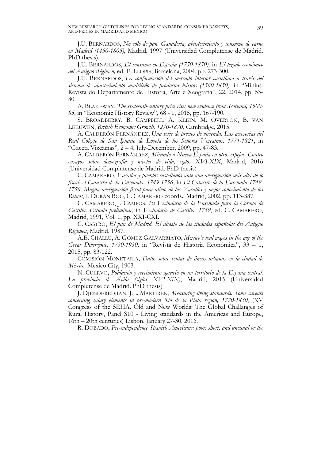J.U. BERNARDOS, *No sólo de pan. Ganadería, abastecimiento y consumo de carne en Madrid (1450-1805)*, Madrid, 1997 (Universidad Complutense de Madrid. PhD thesis).

J.U. BERNARDOS, *El consumo en España (1750-1850),* in *El legado económico del Antiguo Régimen,* ed. E. LLOPIS, Barcelona, 2004, pp. 273-300.

J.U. BERNARDOS, *La conformación del mercado interior castellano a través del sistema de abastecimiento madrileño de productos básicos (1560-1850),* in "Minius: Revista do Departamento de Historia, Arte e Xeografía", 22, 2014, pp. 53- 80.

A. BLAKEWAY, *The sixteenth-century price rise: new evidence from Scotland, 1500- 85*, in "Economic History Review", 68 - 1, 2015, pp. 167-190.

S. BROADBERRY, B. CAMPBELL, A. KLEIN, M. OVERTON, B. VAN LEEUWEN, *British Economic Growth, 1270-1870*, Cambridge, 2015.

A. CALDERÓN FERNÁNDEZ, *Una serie de precios de vivienda. Las accesorias del Real Colegio de San Ignacio de Loyola de los Señores Vizcaínos, 1771-1821*, in "Gaceta Vizcaínas"*,* 2 – 4, July-December, 2009, pp. 47-83.

A. CALDERÓN FERNÁNDEZ, *Mirando a Nueva España en otros espejos. Cuatro ensayos sobre demografía y niveles de vida, siglos XVI-XIX*, Madrid, 2016 (Universidad Complutense de Madrid. PhD thesis)

C. CAMARERO, *Vasallos y pueblos castellanos ante una averiguación más allá de lo fiscal: el Catastro de la Ensenada, 1749-1756*, in *El Catastro de la Ensenada 1749- 1756. Magna averiguación fiscal para alivio de los Vasallos y mejor conocimiento de los Reinos*, I. DURÁN BOO, C. CAMARERO coords., Madrid, 2002, pp. 113-387.

C. CAMARERO, J. CAMPOS, *El Vecindario de la Ensenada para la Corona de Castilla. Estudio preliminar*, in *Vecindario de Castilla, 1759*, ed. C. CAMARERO, Madrid, 1991, Vol. 1, pp. XXI-CXI.

C. CASTRO, *El pan de Madrid. El abasto de las ciudades españolas del Antiguo Régimen*, Madrid, 1987.

A.E. CHALLÚ, A. GÓMEZ GALVARRIATO, *Mexico's real wages in the age of the Great Divergence, 1730-1930,* in "Revista de Historia Económica", 33 – 1, 2015, pp. 83-122.

COMISIÓN MONETARIA, *Datos sobre rentas de fincas urbanas en la ciudad de México,* Mexico City, 1903.

N. CUERVO, *Población y crecimiento agrario en un territorio de la España central. La provincia de Ávila (siglos XVI-XIX)*, Madrid, 2015 (Universidad Complutense de Madrid. PhD thesis)

J. DJENDEREDJIAN, J.L. MARTIRÉN, *Measuring living standards. Some caveats concerning salary elements in pre-modern Rio de la Plata región, 1770-1830*, (XV Congress of the SEHA. Old and New Worlds: The Global Challanges of Rural History, Panel S10 - Living standards in the Americas and Europe, 16th – 20th centuries) Lisbon, January 27-30, 2016.

R. DOBADO, *Pre-independence Spanish Americans: poor, short, and unequal or the*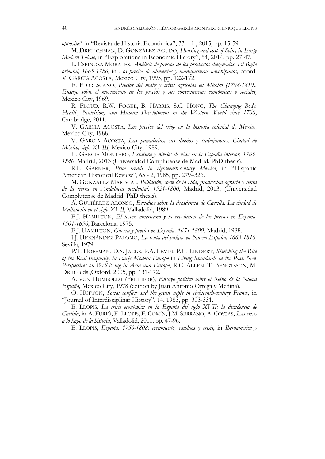*opposite?,* in "Revista de Historia Económica", 33 – 1 , 2015, pp. 15-59.

M. DRELICHMAN, D. GONZÁLEZ AGUDO, *Housing and cost of living in Early Modern Toledo,* in "Explorations in Economic History", 54, 2014, pp. 27-47.

L. ESPINOSA MORALES, *Análisis de precios de los productos diezmados. El Bajío oriental, 1665-1786,* in *Los precios de alimentos y manufacturas novohipanos,* coord. V. GARCÍA ACOSTA, Mexico City, 1995, pp. 122-172.

E. FLORESCANO, *Precios del maíz y crisis agrícolas en México (1708-1810). Ensayo sobre el movimiento de los precios y sus consecuencias económicas y sociales,*  Mexico City, 1969.

R. FLOUD, R.W. FOGEL, B. HARRIS, S.C. HONG, *The Changing Body. Health, Nutrition, and Human Development in the Western World since 1700*, Cambridge, 2011.

V. GARCÍA ACOSTA, *Los precios del trigo en la historia colonial de México,*  Mexico City, 1988.

V. GARCÍA ACOSTA, *Las panaderías, sus dueños y trabajadores. Ciudad de México, siglo XVIII,* Mexico City, 1989.

H. GARCÍA MONTERO, *Estatura y niveles de vida en la España interior, 1765- 1840*, Madrid, 2013 (Universidad Complutense de Madrid. PhD thesis).

R.L. GARNER, *Price trends in eighteenth-century Mexico*, in "Hispanic American Historical Review", 65 - 2, 1985, pp. 279–326.

M. GONZÁLEZ MARISCAL, *Población, coste de la vida, producción agraria y renta de la tierra en Andalucía occidental, 1521-1800*, Madrid, 2013, (Universidad Complutense de Madrid. PhD thesis).

A. GUTIÉRREZ ALONSO, *Estudios sobre la decadencia de Castilla. La ciudad de Valladolid en el siglo XVII*, Valladolid, 1989.

E.J. HAMILTON, *El tesoro americano y la revolución de los precios en España, 1501-1650*, Barcelona, 1975.

E.J. HAMILTON, *Guerra y precios en España, 1651-1800*, Madrid, 1988.

J.J. HERNÁNDEZ PALOMO, *La renta del pulque en Nueva España, 1663-1810,*  Sevilla, 1979.

P.T. HOFFMAN, D.S. JACKS, P.A. LEVIN, P.H. LINDERT, *Sketching the Rise of the Real Inequality in Early Modern Europe* in *Living Standards in the Past. New Perspectives on Well-Being in Asia and Europe*, R.C. ALLEN, T. BENGTSSON, M. DRIBE eds.,Oxford, 2005, pp. 131-172.

A. VON HUMBOLDT (FREIHERR), *Ensayo político sobre el Reino de la Nueva España,* Mexico City, 1978 (edition by Juan Antonio Ortega y Medina).

O. HUFTON, *Social conflict and the grain suply in eighteenth-century France*, in "Journal of Interdisciplinar History", 14, 1983, pp. 303-331.

E. LLOPIS, *La crisis económica en la España del siglo XVII: la decadencia de Castilla*, in A. FURIÓ, E. LLOPIS, F. COMÍN, J.M. SERRANO, A. COSTAS, *Las crisis a lo largo de la historia*, Valladolid, 2010, pp. 47-96.

E. LLOPIS, *España, 1750-1808: crecimiento, cambios y crisis*, in *Iberoamérica y*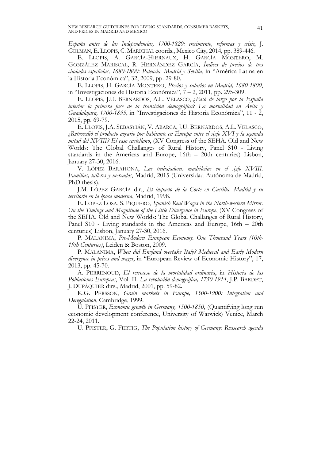*España antes de las Independencias, 1700-1820: crecimiento, reformas y crisis*, J. GELMAN, E. LLOPIS, C. MARICHAL coords., Mexico City, 2014, pp. 389-446.

E. LLOPIS, A. GARCÍA-HIERNAUX, H. GARCÍA MONTERO, M. GONZÁLEZ MARISCAL, R. HERNÁNDEZ GARCÍA, *Índices de precios de tres ciudades españolas, 1680-1800: Palencia, Madrid y Sevilla*, in "América Latina en la Historia Económica", 32, 2009, pp. 29-80.

E. LLOPIS, H. GARCÍA MONTERO, *Precios y salarios en Madrid, 1680-1800*, in "Investigaciones de Historia Económica", 7 – 2, 2011, pp. 295-309.

E. LLOPIS, J.U. BERNARDOS, A.L. VELASCO, ¿*Pasó de largo por la España interior la primera fase de la transición demográfica? La mortalidad en Ávila y Guadalajara, 1700-1895*, in "Investigaciones de Historia Económica", 11 - 2, 2015, pp. 69-79.

E. LLOPIS, J.A. SEBASTIÁN, V. ABARCA, J.U. BERNARDOS, A.L. VELASCO, *¿Retrocedió el producto agrario por habitante en Europa entre el siglo XVI y la segunda mitad del XVIII? El caso castellano*, (XV Congress of the SEHA. Old and New Worlds: The Global Challanges of Rural History, Panel S10 - Living standards in the Americas and Europe, 16th – 20th centuries) Lisbon, January 27-30, 2016.

V. LÓPEZ BARAHONA, *Las trabajadoras madrileñas en el siglo XVIII. Familias, talleres y mercados*, Madrid, 2015 (Universidad Autónoma de Madrid, PhD thesis).

J.M. LÓPEZ GARCÍA dir., *El impacto de la Corte en Castilla. Madrid y su territorio en la época moderna*, Madrid, 1998.

E. LÓPEZ LOSA, S. PIQUERO, *Spanish Real Wages in the North-western Mirror. On the Timings and Magnitude of the Little Divergence in Europe*, (XV Congress of the SEHA. Old and New Worlds: The Global Challanges of Rural History, Panel S10 - Living standards in the Americas and Europe, 16th – 20th centuries) Lisbon, January 27-30, 2016.

P. MALANIMA, *Pre-Modern European Economy. One Thousand Years (10th-19th Centuries)*, Leiden & Boston, 2009.

P. MALANIMA, *When did England overtake Italy? Medieval and Early Modern divergence in prices and wages*, in "European Review of Economic History", 17, 2013, pp. 45-70.

A. PERRENOUD, *El retroceso de la mortalidad ordinaria*, in *Historia de las Poblaciones Europeas*, Vol. II. *La revolución demográfica, 1750-1914*, J.P. BARDET, J. DUPÂQUIER dirs., Madrid, 2001, pp. 59-82.

K.G. PERSSON, *Grain markets in Europe, 1500-1900: Integration and Deregulation*, Cambridge, 1999.

U. PFISTER, *Economic growth in Germany, 1500-1850*, (Quantifying long run economic development conference, University of Warwick) Venice, March 22-24, 2011.

U. PFISTER, G. FERTIG, *The Population history of Germany: Reasearch agenda*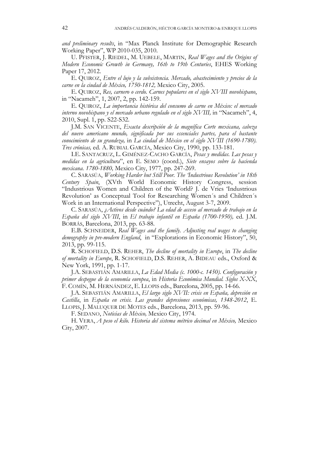*and preliminary results*, in "Max Planck Institute for Demographic Research Working Paper", WP 2010-035, 2010.

U. PFISTER, J. RIEDEL, M. UEBELE, MARTIN, *Real Wages and the Origins of Modern Economic Growth in Germany, 16th to 19th Centuries*, EHES Working Paper 17, 2012.

E. QUIROZ, *Entre el lujo y la subsistencia. Mercado, abastecimiento y precios de la carne en la ciudad de México, 1750-1812,* Mexico City, 2005.

E. QUIROZ, *Res, carnero o cerdo. Carnes populares en el siglo XVIII novohispano*, in "Nacameh", 1, 2007, 2, pp. 142-159.

E. QUIROZ, *La importancia histórica del consumo de carne en México: el mercado interno novohispano y el mercado urbano regulado en el siglo XVIII,* in "Nacameh", 4, 2010, Supl. 1, pp. S22-S32.

J.M. SAN VICENTE, *Exacta descripción de la magnífica Corte mexicana, cabeza del nuevo americano mundo, significada por sus essenciales partes, para el bastante conocimiento de su grandeza,* in *La ciudad de México en el siglo XVIII (1690-1780). Tres crónicas,* ed. A. RUBIAL GARCÍA, Mexico City, 1990, pp. 133-181.

I.E. SANTACRUZ, L. GIMÉNEZ-CACHO GARCÍA, *Pesas y medidas. Las pesas y medidas en la agricultura*", en E. SEMO (coord.), *Siete ensayos sobre la hacienda mexicana. 1780-1880,* Mexico City, 1977, pp. 247-269.

C. SARASÚA, *Working Harder but Still Poor. The 'Industrious Revolution' in 18th Century Spain*, (XVth World Economic History Congress, session "Industrious Women and Children of the World? J. de Vries 'Industrious Revolution' as Conceptual Tool for Researching Women´s and Children´s Work in an International Perspective"), Utrecht, August 3-7, 2009.

C. SARASÚA, *¿Activos desde cuándo? La edad de acceso al mercado de trabajo en la España del siglo XVIII*, in *El trabajo infantil en España (1700-1950),* ed. J.M. BORRÁS, Barcelona, 2013, pp. 63-88.

E.B. SCHNEIDER, *Real Wages and the family. Adjusting real wages to changing demography in pre-modern England*, in "Explorations in Economic History", 50, 2013, pp. 99-115.

R. SCHOFIELD, D.S. REHER, *The decline of mortality in Europe*, in *The decline of mortality in Europe*, R. SCHOFIELD, D.S. REHER, A. BIDEAU eds., Oxford & New York, 1991, pp. 1-17.

J.A. SEBASTIÁN AMARILLA, *La Edad Media (c. 1000-c. 1450). Configuración y primer despegue de la economía europea*, in *Historia Económica Mundial. Siglos X-XX*, F. COMÍN, M. HERNÁNDEZ, E. LLOPIS eds., Barcelona, 2005, pp. 14-66.

J.A. SEBASTIÁN AMARILLA, *El largo siglo XVII: crisis en España, depresión en Castilla*, in *España en crisis. Las grandes depresiones económicas, 1348-2012*, E. LLOPIS, J. MALUQUER DE MOTES eds., Barcelona, 2013, pp. 59-96.

F. SEDANO, *Noticias de México,* Mexico City, 1974.

H. VERA, *A peso el kilo. Historia del sistema métrico decimal en México,* Mexico City, 2007.